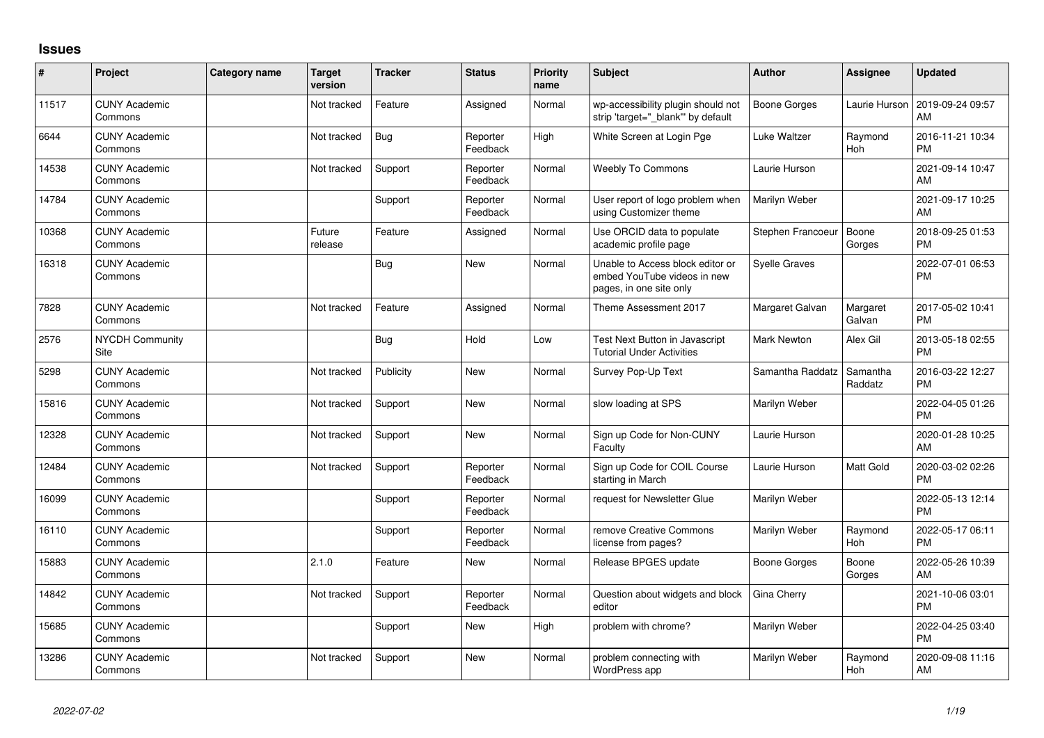## **Issues**

| #     | Project                         | <b>Category name</b> | <b>Target</b><br>version | <b>Tracker</b> | <b>Status</b>        | <b>Priority</b><br>name | <b>Subject</b>                                                                             | <b>Author</b>        | Assignee              | <b>Updated</b>                |
|-------|---------------------------------|----------------------|--------------------------|----------------|----------------------|-------------------------|--------------------------------------------------------------------------------------------|----------------------|-----------------------|-------------------------------|
| 11517 | <b>CUNY Academic</b><br>Commons |                      | Not tracked              | Feature        | Assigned             | Normal                  | wp-accessibility plugin should not<br>strip 'target="_blank"' by default                   | Boone Gorges         | Laurie Hurson         | 2019-09-24 09:57<br>AM        |
| 6644  | <b>CUNY Academic</b><br>Commons |                      | Not tracked              | Bug            | Reporter<br>Feedback | High                    | White Screen at Login Pge                                                                  | Luke Waltzer         | Raymond<br>Hoh        | 2016-11-21 10:34<br><b>PM</b> |
| 14538 | <b>CUNY Academic</b><br>Commons |                      | Not tracked              | Support        | Reporter<br>Feedback | Normal                  | <b>Weebly To Commons</b>                                                                   | Laurie Hurson        |                       | 2021-09-14 10:47<br>AM        |
| 14784 | <b>CUNY Academic</b><br>Commons |                      |                          | Support        | Reporter<br>Feedback | Normal                  | User report of logo problem when<br>using Customizer theme                                 | Marilyn Weber        |                       | 2021-09-17 10:25<br>AM        |
| 10368 | <b>CUNY Academic</b><br>Commons |                      | Future<br>release        | Feature        | Assigned             | Normal                  | Use ORCID data to populate<br>academic profile page                                        | Stephen Francoeur    | Boone<br>Gorges       | 2018-09-25 01:53<br><b>PM</b> |
| 16318 | <b>CUNY Academic</b><br>Commons |                      |                          | <b>Bug</b>     | New                  | Normal                  | Unable to Access block editor or<br>embed YouTube videos in new<br>pages, in one site only | <b>Syelle Graves</b> |                       | 2022-07-01 06:53<br><b>PM</b> |
| 7828  | <b>CUNY Academic</b><br>Commons |                      | Not tracked              | Feature        | Assigned             | Normal                  | Theme Assessment 2017                                                                      | Margaret Galvan      | Margaret<br>Galvan    | 2017-05-02 10:41<br><b>PM</b> |
| 2576  | NYCDH Community<br>Site         |                      |                          | <b>Bug</b>     | Hold                 | Low                     | Test Next Button in Javascript<br><b>Tutorial Under Activities</b>                         | Mark Newton          | Alex Gil              | 2013-05-18 02:55<br><b>PM</b> |
| 5298  | <b>CUNY Academic</b><br>Commons |                      | Not tracked              | Publicity      | <b>New</b>           | Normal                  | Survey Pop-Up Text                                                                         | Samantha Raddatz     | Samantha<br>Raddatz   | 2016-03-22 12:27<br><b>PM</b> |
| 15816 | <b>CUNY Academic</b><br>Commons |                      | Not tracked              | Support        | <b>New</b>           | Normal                  | slow loading at SPS                                                                        | Marilyn Weber        |                       | 2022-04-05 01:26<br><b>PM</b> |
| 12328 | <b>CUNY Academic</b><br>Commons |                      | Not tracked              | Support        | <b>New</b>           | Normal                  | Sign up Code for Non-CUNY<br>Faculty                                                       | Laurie Hurson        |                       | 2020-01-28 10:25<br>AM        |
| 12484 | <b>CUNY Academic</b><br>Commons |                      | Not tracked              | Support        | Reporter<br>Feedback | Normal                  | Sign up Code for COIL Course<br>starting in March                                          | Laurie Hurson        | Matt Gold             | 2020-03-02 02:26<br><b>PM</b> |
| 16099 | <b>CUNY Academic</b><br>Commons |                      |                          | Support        | Reporter<br>Feedback | Normal                  | request for Newsletter Glue                                                                | Marilyn Weber        |                       | 2022-05-13 12:14<br><b>PM</b> |
| 16110 | <b>CUNY Academic</b><br>Commons |                      |                          | Support        | Reporter<br>Feedback | Normal                  | remove Creative Commons<br>license from pages?                                             | Marilyn Weber        | Raymond<br>Hoh        | 2022-05-17 06:11<br><b>PM</b> |
| 15883 | <b>CUNY Academic</b><br>Commons |                      | 2.1.0                    | Feature        | New                  | Normal                  | Release BPGES update                                                                       | Boone Gorges         | Boone<br>Gorges       | 2022-05-26 10:39<br>AM        |
| 14842 | <b>CUNY Academic</b><br>Commons |                      | Not tracked              | Support        | Reporter<br>Feedback | Normal                  | Question about widgets and block<br>editor                                                 | Gina Cherry          |                       | 2021-10-06 03:01<br><b>PM</b> |
| 15685 | <b>CUNY Academic</b><br>Commons |                      |                          | Support        | <b>New</b>           | High                    | problem with chrome?                                                                       | Marilyn Weber        |                       | 2022-04-25 03:40<br>PM        |
| 13286 | <b>CUNY Academic</b><br>Commons |                      | Not tracked              | Support        | <b>New</b>           | Normal                  | problem connecting with<br>WordPress app                                                   | Marilyn Weber        | Raymond<br><b>Hoh</b> | 2020-09-08 11:16<br>AM        |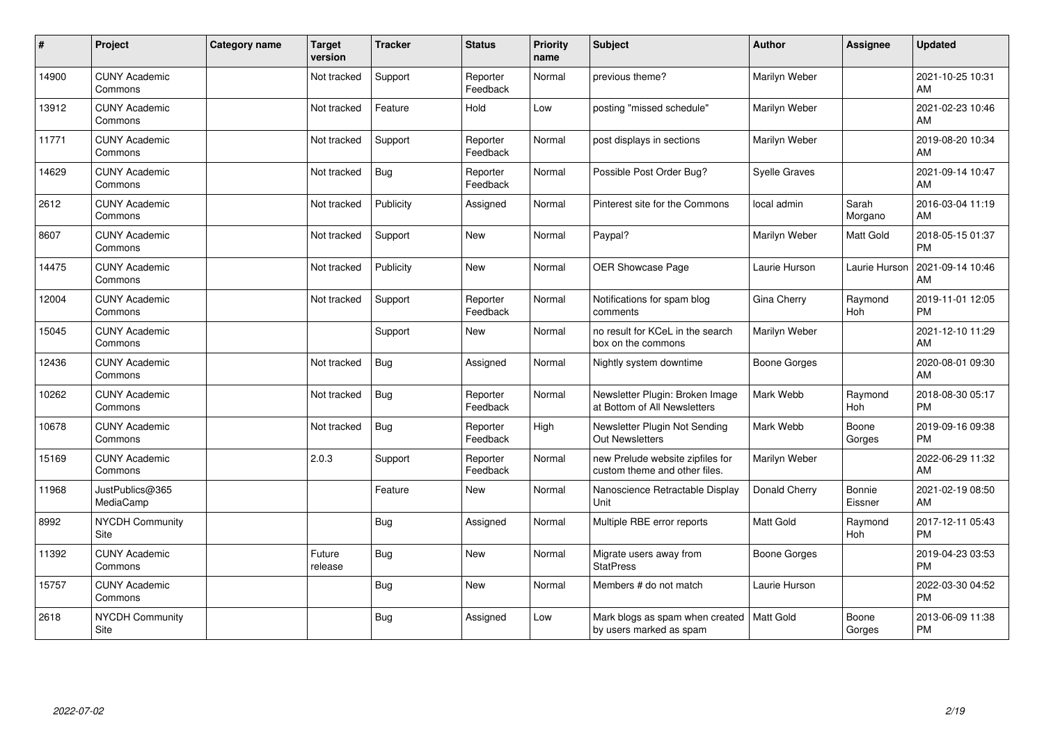| #     | Project                         | Category name | <b>Target</b><br>version | <b>Tracker</b> | <b>Status</b>        | <b>Priority</b><br>name | <b>Subject</b>                                                    | <b>Author</b>       | <b>Assignee</b>   | <b>Updated</b>                |
|-------|---------------------------------|---------------|--------------------------|----------------|----------------------|-------------------------|-------------------------------------------------------------------|---------------------|-------------------|-------------------------------|
| 14900 | <b>CUNY Academic</b><br>Commons |               | Not tracked              | Support        | Reporter<br>Feedback | Normal                  | previous theme?                                                   | Marilyn Weber       |                   | 2021-10-25 10:31<br>AM        |
| 13912 | <b>CUNY Academic</b><br>Commons |               | Not tracked              | Feature        | Hold                 | Low                     | posting "missed schedule"                                         | Marilyn Weber       |                   | 2021-02-23 10:46<br>AM        |
| 11771 | <b>CUNY Academic</b><br>Commons |               | Not tracked              | Support        | Reporter<br>Feedback | Normal                  | post displays in sections                                         | Marilyn Weber       |                   | 2019-08-20 10:34<br>AM        |
| 14629 | <b>CUNY Academic</b><br>Commons |               | Not tracked              | <b>Bug</b>     | Reporter<br>Feedback | Normal                  | Possible Post Order Bug?                                          | Syelle Graves       |                   | 2021-09-14 10:47<br>AM        |
| 2612  | <b>CUNY Academic</b><br>Commons |               | Not tracked              | Publicity      | Assigned             | Normal                  | Pinterest site for the Commons                                    | local admin         | Sarah<br>Morgano  | 2016-03-04 11:19<br>AM        |
| 8607  | <b>CUNY Academic</b><br>Commons |               | Not tracked              | Support        | <b>New</b>           | Normal                  | Paypal?                                                           | Marilyn Weber       | Matt Gold         | 2018-05-15 01:37<br><b>PM</b> |
| 14475 | <b>CUNY Academic</b><br>Commons |               | Not tracked              | Publicity      | <b>New</b>           | Normal                  | OER Showcase Page                                                 | Laurie Hurson       | Laurie Hurson     | 2021-09-14 10:46<br>AM        |
| 12004 | <b>CUNY Academic</b><br>Commons |               | Not tracked              | Support        | Reporter<br>Feedback | Normal                  | Notifications for spam blog<br>comments                           | Gina Cherry         | Raymond<br>Hoh    | 2019-11-01 12:05<br><b>PM</b> |
| 15045 | <b>CUNY Academic</b><br>Commons |               |                          | Support        | <b>New</b>           | Normal                  | no result for KCeL in the search<br>box on the commons            | Marilyn Weber       |                   | 2021-12-10 11:29<br>AM        |
| 12436 | <b>CUNY Academic</b><br>Commons |               | Not tracked              | Bug            | Assigned             | Normal                  | Nightly system downtime                                           | <b>Boone Gorges</b> |                   | 2020-08-01 09:30<br>AM        |
| 10262 | <b>CUNY Academic</b><br>Commons |               | Not tracked              | Bug            | Reporter<br>Feedback | Normal                  | Newsletter Plugin: Broken Image<br>at Bottom of All Newsletters   | Mark Webb           | Raymond<br>Hoh    | 2018-08-30 05:17<br><b>PM</b> |
| 10678 | <b>CUNY Academic</b><br>Commons |               | Not tracked              | Bug            | Reporter<br>Feedback | High                    | Newsletter Plugin Not Sending<br>Out Newsletters                  | Mark Webb           | Boone<br>Gorges   | 2019-09-16 09:38<br><b>PM</b> |
| 15169 | <b>CUNY Academic</b><br>Commons |               | 2.0.3                    | Support        | Reporter<br>Feedback | Normal                  | new Prelude website zipfiles for<br>custom theme and other files. | Marilyn Weber       |                   | 2022-06-29 11:32<br>AM        |
| 11968 | JustPublics@365<br>MediaCamp    |               |                          | Feature        | <b>New</b>           | Normal                  | Nanoscience Retractable Display<br>Unit                           | Donald Cherry       | Bonnie<br>Eissner | 2021-02-19 08:50<br>AM        |
| 8992  | NYCDH Community<br>Site         |               |                          | Bug            | Assigned             | Normal                  | Multiple RBE error reports                                        | <b>Matt Gold</b>    | Raymond<br>Hoh    | 2017-12-11 05:43<br><b>PM</b> |
| 11392 | <b>CUNY Academic</b><br>Commons |               | Future<br>release        | Bug            | <b>New</b>           | Normal                  | Migrate users away from<br><b>StatPress</b>                       | Boone Gorges        |                   | 2019-04-23 03:53<br><b>PM</b> |
| 15757 | <b>CUNY Academic</b><br>Commons |               |                          | Bug            | <b>New</b>           | Normal                  | Members # do not match                                            | Laurie Hurson       |                   | 2022-03-30 04:52<br><b>PM</b> |
| 2618  | NYCDH Community<br>Site         |               |                          | <b>Bug</b>     | Assigned             | Low                     | Mark blogs as spam when created<br>by users marked as spam        | Matt Gold           | Boone<br>Gorges   | 2013-06-09 11:38<br><b>PM</b> |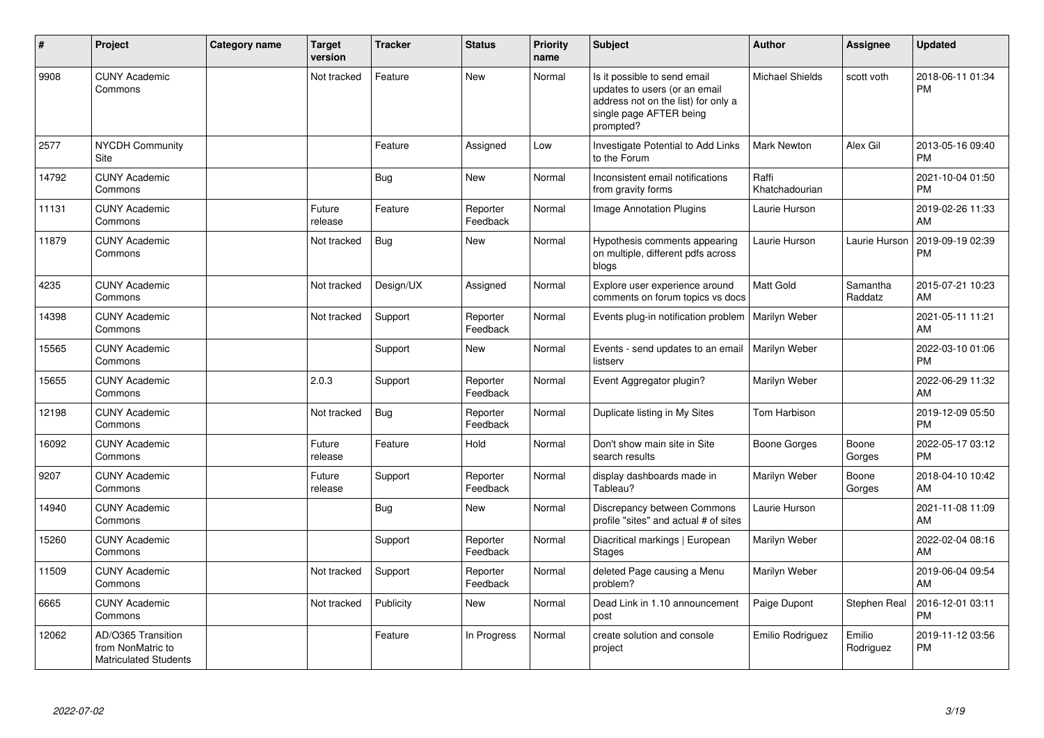| #     | Project                                                                 | Category name | <b>Target</b><br>version | <b>Tracker</b> | <b>Status</b>        | <b>Priority</b><br>name | <b>Subject</b>                                                                                                                               | <b>Author</b>           | Assignee            | <b>Updated</b>                |
|-------|-------------------------------------------------------------------------|---------------|--------------------------|----------------|----------------------|-------------------------|----------------------------------------------------------------------------------------------------------------------------------------------|-------------------------|---------------------|-------------------------------|
| 9908  | <b>CUNY Academic</b><br>Commons                                         |               | Not tracked              | Feature        | <b>New</b>           | Normal                  | Is it possible to send email<br>updates to users (or an email<br>address not on the list) for only a<br>single page AFTER being<br>prompted? | <b>Michael Shields</b>  | scott voth          | 2018-06-11 01:34<br><b>PM</b> |
| 2577  | <b>NYCDH Community</b><br><b>Site</b>                                   |               |                          | Feature        | Assigned             | Low                     | Investigate Potential to Add Links<br>to the Forum                                                                                           | Mark Newton             | Alex Gil            | 2013-05-16 09:40<br><b>PM</b> |
| 14792 | <b>CUNY Academic</b><br>Commons                                         |               |                          | Bug            | <b>New</b>           | Normal                  | Inconsistent email notifications<br>from gravity forms                                                                                       | Raffi<br>Khatchadourian |                     | 2021-10-04 01:50<br><b>PM</b> |
| 11131 | <b>CUNY Academic</b><br>Commons                                         |               | Future<br>release        | Feature        | Reporter<br>Feedback | Normal                  | Image Annotation Plugins                                                                                                                     | Laurie Hurson           |                     | 2019-02-26 11:33<br>AM        |
| 11879 | <b>CUNY Academic</b><br>Commons                                         |               | Not tracked              | <b>Bug</b>     | <b>New</b>           | Normal                  | Hypothesis comments appearing<br>on multiple, different pdfs across<br>blogs                                                                 | Laurie Hurson           | Laurie Hurson       | 2019-09-19 02:39<br><b>PM</b> |
| 4235  | <b>CUNY Academic</b><br>Commons                                         |               | Not tracked              | Design/UX      | Assigned             | Normal                  | Explore user experience around<br>comments on forum topics vs docs                                                                           | <b>Matt Gold</b>        | Samantha<br>Raddatz | 2015-07-21 10:23<br>AM        |
| 14398 | <b>CUNY Academic</b><br>Commons                                         |               | Not tracked              | Support        | Reporter<br>Feedback | Normal                  | Events plug-in notification problem                                                                                                          | Marilyn Weber           |                     | 2021-05-11 11:21<br>AM        |
| 15565 | <b>CUNY Academic</b><br>Commons                                         |               |                          | Support        | <b>New</b>           | Normal                  | Events - send updates to an email<br>listserv                                                                                                | <b>Marilyn Weber</b>    |                     | 2022-03-10 01:06<br><b>PM</b> |
| 15655 | <b>CUNY Academic</b><br>Commons                                         |               | 2.0.3                    | Support        | Reporter<br>Feedback | Normal                  | Event Aggregator plugin?                                                                                                                     | Marilyn Weber           |                     | 2022-06-29 11:32<br>AM        |
| 12198 | <b>CUNY Academic</b><br>Commons                                         |               | Not tracked              | Bug            | Reporter<br>Feedback | Normal                  | Duplicate listing in My Sites                                                                                                                | Tom Harbison            |                     | 2019-12-09 05:50<br><b>PM</b> |
| 16092 | <b>CUNY Academic</b><br>Commons                                         |               | Future<br>release        | Feature        | Hold                 | Normal                  | Don't show main site in Site<br>search results                                                                                               | Boone Gorges            | Boone<br>Gorges     | 2022-05-17 03:12<br>PM        |
| 9207  | <b>CUNY Academic</b><br>Commons                                         |               | Future<br>release        | Support        | Reporter<br>Feedback | Normal                  | display dashboards made in<br>Tableau?                                                                                                       | Marilyn Weber           | Boone<br>Gorges     | 2018-04-10 10:42<br>AM        |
| 14940 | <b>CUNY Academic</b><br>Commons                                         |               |                          | <b>Bug</b>     | <b>New</b>           | Normal                  | Discrepancy between Commons<br>profile "sites" and actual # of sites                                                                         | Laurie Hurson           |                     | 2021-11-08 11:09<br>AM        |
| 15260 | <b>CUNY Academic</b><br>Commons                                         |               |                          | Support        | Reporter<br>Feedback | Normal                  | Diacritical markings   European<br><b>Stages</b>                                                                                             | Marilyn Weber           |                     | 2022-02-04 08:16<br>AM        |
| 11509 | <b>CUNY Academic</b><br>Commons                                         |               | Not tracked              | Support        | Reporter<br>Feedback | Normal                  | deleted Page causing a Menu<br>problem?                                                                                                      | Marilyn Weber           |                     | 2019-06-04 09:54<br>AM        |
| 6665  | <b>CUNY Academic</b><br>Commons                                         |               | Not tracked              | Publicity      | <b>New</b>           | Normal                  | Dead Link in 1.10 announcement<br>post                                                                                                       | Paige Dupont            | Stephen Real        | 2016-12-01 03:11<br>PM        |
| 12062 | AD/O365 Transition<br>from NonMatric to<br><b>Matriculated Students</b> |               |                          | Feature        | In Progress          | Normal                  | create solution and console<br>project                                                                                                       | Emilio Rodriguez        | Emilio<br>Rodriguez | 2019-11-12 03:56<br><b>PM</b> |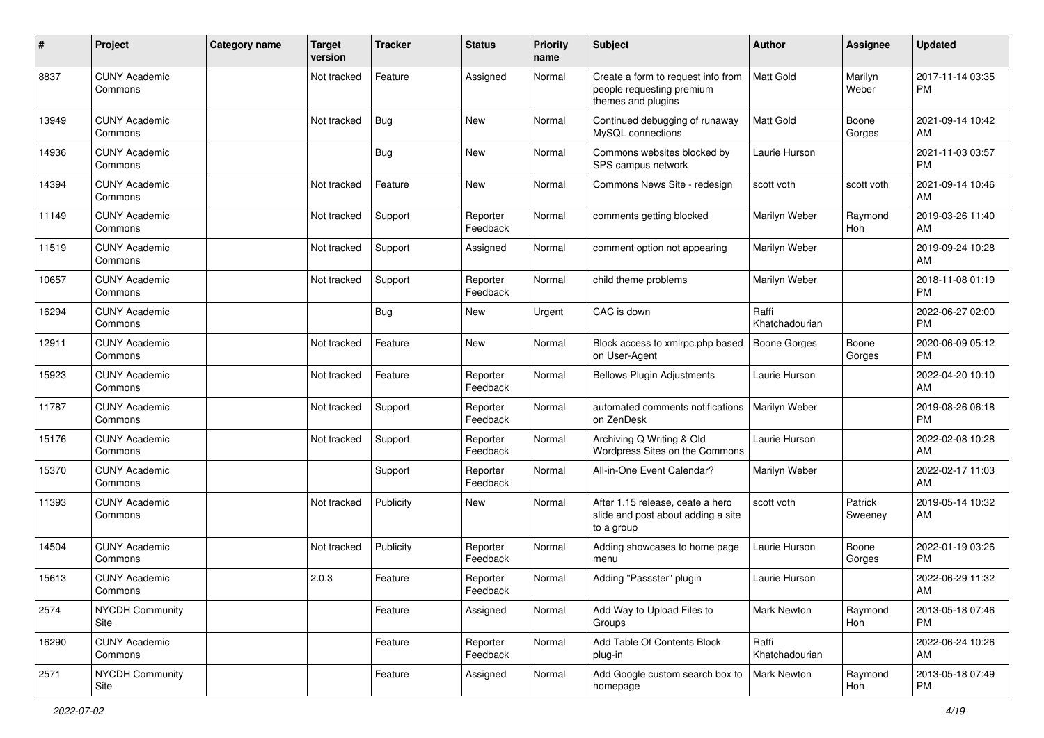| #     | Project                         | Category name | <b>Target</b><br>version | <b>Tracker</b> | <b>Status</b>        | Priority<br>name | Subject                                                                               | Author                  | <b>Assignee</b>    | <b>Updated</b>                |
|-------|---------------------------------|---------------|--------------------------|----------------|----------------------|------------------|---------------------------------------------------------------------------------------|-------------------------|--------------------|-------------------------------|
| 8837  | <b>CUNY Academic</b><br>Commons |               | Not tracked              | Feature        | Assigned             | Normal           | Create a form to request info from<br>people requesting premium<br>themes and plugins | <b>Matt Gold</b>        | Marilyn<br>Weber   | 2017-11-14 03:35<br>PM        |
| 13949 | <b>CUNY Academic</b><br>Commons |               | Not tracked              | Bug            | <b>New</b>           | Normal           | Continued debugging of runaway<br>MySQL connections                                   | Matt Gold               | Boone<br>Gorges    | 2021-09-14 10:42<br>AM        |
| 14936 | <b>CUNY Academic</b><br>Commons |               |                          | Bug            | <b>New</b>           | Normal           | Commons websites blocked by<br>SPS campus network                                     | Laurie Hurson           |                    | 2021-11-03 03:57<br><b>PM</b> |
| 14394 | <b>CUNY Academic</b><br>Commons |               | Not tracked              | Feature        | <b>New</b>           | Normal           | Commons News Site - redesign                                                          | scott voth              | scott voth         | 2021-09-14 10:46<br>AM        |
| 11149 | <b>CUNY Academic</b><br>Commons |               | Not tracked              | Support        | Reporter<br>Feedback | Normal           | comments getting blocked                                                              | Marilyn Weber           | Raymond<br>Hoh     | 2019-03-26 11:40<br>AM        |
| 11519 | <b>CUNY Academic</b><br>Commons |               | Not tracked              | Support        | Assigned             | Normal           | comment option not appearing                                                          | Marilyn Weber           |                    | 2019-09-24 10:28<br>AM        |
| 10657 | <b>CUNY Academic</b><br>Commons |               | Not tracked              | Support        | Reporter<br>Feedback | Normal           | child theme problems                                                                  | Marilyn Weber           |                    | 2018-11-08 01:19<br><b>PM</b> |
| 16294 | <b>CUNY Academic</b><br>Commons |               |                          | Bug            | New                  | Urgent           | CAC is down                                                                           | Raffi<br>Khatchadourian |                    | 2022-06-27 02:00<br><b>PM</b> |
| 12911 | <b>CUNY Academic</b><br>Commons |               | Not tracked              | Feature        | New                  | Normal           | Block access to xmlrpc.php based<br>on User-Agent                                     | <b>Boone Gorges</b>     | Boone<br>Gorges    | 2020-06-09 05:12<br>PM        |
| 15923 | <b>CUNY Academic</b><br>Commons |               | Not tracked              | Feature        | Reporter<br>Feedback | Normal           | <b>Bellows Plugin Adjustments</b>                                                     | Laurie Hurson           |                    | 2022-04-20 10:10<br>AM        |
| 11787 | <b>CUNY Academic</b><br>Commons |               | Not tracked              | Support        | Reporter<br>Feedback | Normal           | automated comments notifications<br>on ZenDesk                                        | Marilyn Weber           |                    | 2019-08-26 06:18<br><b>PM</b> |
| 15176 | <b>CUNY Academic</b><br>Commons |               | Not tracked              | Support        | Reporter<br>Feedback | Normal           | Archiving Q Writing & Old<br>Wordpress Sites on the Commons                           | Laurie Hurson           |                    | 2022-02-08 10:28<br>AM        |
| 15370 | <b>CUNY Academic</b><br>Commons |               |                          | Support        | Reporter<br>Feedback | Normal           | All-in-One Event Calendar?                                                            | Marilyn Weber           |                    | 2022-02-17 11:03<br>AM        |
| 11393 | <b>CUNY Academic</b><br>Commons |               | Not tracked              | Publicity      | New                  | Normal           | After 1.15 release, ceate a hero<br>slide and post about adding a site<br>to a group  | scott voth              | Patrick<br>Sweeney | 2019-05-14 10:32<br>AM        |
| 14504 | <b>CUNY Academic</b><br>Commons |               | Not tracked              | Publicity      | Reporter<br>Feedback | Normal           | Adding showcases to home page<br>menu                                                 | Laurie Hurson           | Boone<br>Gorges    | 2022-01-19 03:26<br>PM        |
| 15613 | <b>CUNY Academic</b><br>Commons |               | 2.0.3                    | Feature        | Reporter<br>Feedback | Normal           | Adding "Passster" plugin                                                              | Laurie Hurson           |                    | 2022-06-29 11:32<br>AM        |
| 2574  | NYCDH Community<br>Site         |               |                          | Feature        | Assigned             | Normal           | Add Way to Upload Files to<br>Groups                                                  | <b>Mark Newton</b>      | Raymond<br>Hoh     | 2013-05-18 07:46<br>PM.       |
| 16290 | <b>CUNY Academic</b><br>Commons |               |                          | Feature        | Reporter<br>Feedback | Normal           | Add Table Of Contents Block<br>plug-in                                                | Raffi<br>Khatchadourian |                    | 2022-06-24 10:26<br>AM        |
| 2571  | NYCDH Community<br>Site         |               |                          | Feature        | Assigned             | Normal           | Add Google custom search box to<br>homepage                                           | Mark Newton             | Raymond<br>Hoh     | 2013-05-18 07:49<br><b>PM</b> |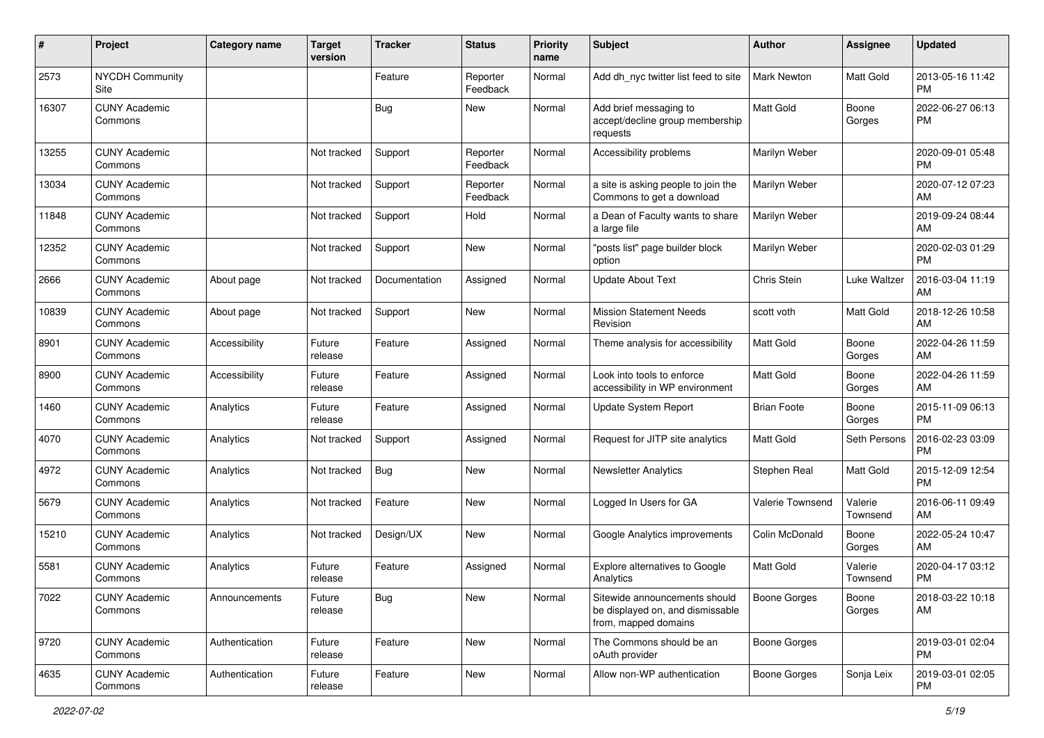| #     | Project                         | <b>Category name</b> | <b>Target</b><br>version | <b>Tracker</b> | <b>Status</b>        | Priority<br>name | <b>Subject</b>                                                                            | <b>Author</b>       | <b>Assignee</b>     | <b>Updated</b>                |
|-------|---------------------------------|----------------------|--------------------------|----------------|----------------------|------------------|-------------------------------------------------------------------------------------------|---------------------|---------------------|-------------------------------|
| 2573  | <b>NYCDH Community</b><br>Site  |                      |                          | Feature        | Reporter<br>Feedback | Normal           | Add dh_nyc twitter list feed to site                                                      | <b>Mark Newton</b>  | Matt Gold           | 2013-05-16 11:42<br>PM        |
| 16307 | <b>CUNY Academic</b><br>Commons |                      |                          | Bug            | New                  | Normal           | Add brief messaging to<br>accept/decline group membership<br>requests                     | Matt Gold           | Boone<br>Gorges     | 2022-06-27 06:13<br><b>PM</b> |
| 13255 | <b>CUNY Academic</b><br>Commons |                      | Not tracked              | Support        | Reporter<br>Feedback | Normal           | Accessibility problems                                                                    | Marilyn Weber       |                     | 2020-09-01 05:48<br><b>PM</b> |
| 13034 | <b>CUNY Academic</b><br>Commons |                      | Not tracked              | Support        | Reporter<br>Feedback | Normal           | a site is asking people to join the<br>Commons to get a download                          | Marilyn Weber       |                     | 2020-07-12 07:23<br>AM        |
| 11848 | <b>CUNY Academic</b><br>Commons |                      | Not tracked              | Support        | Hold                 | Normal           | a Dean of Faculty wants to share<br>a large file                                          | Marilyn Weber       |                     | 2019-09-24 08:44<br>AM        |
| 12352 | <b>CUNY Academic</b><br>Commons |                      | Not tracked              | Support        | <b>New</b>           | Normal           | "posts list" page builder block<br>option                                                 | Marilyn Weber       |                     | 2020-02-03 01:29<br><b>PM</b> |
| 2666  | <b>CUNY Academic</b><br>Commons | About page           | Not tracked              | Documentation  | Assigned             | Normal           | <b>Update About Text</b>                                                                  | Chris Stein         | Luke Waltzer        | 2016-03-04 11:19<br>AM        |
| 10839 | <b>CUNY Academic</b><br>Commons | About page           | Not tracked              | Support        | New                  | Normal           | <b>Mission Statement Needs</b><br>Revision                                                | scott voth          | Matt Gold           | 2018-12-26 10:58<br>AM        |
| 8901  | <b>CUNY Academic</b><br>Commons | Accessibility        | Future<br>release        | Feature        | Assigned             | Normal           | Theme analysis for accessibility                                                          | <b>Matt Gold</b>    | Boone<br>Gorges     | 2022-04-26 11:59<br>AM        |
| 8900  | <b>CUNY Academic</b><br>Commons | Accessibility        | Future<br>release        | Feature        | Assigned             | Normal           | Look into tools to enforce<br>accessibility in WP environment                             | Matt Gold           | Boone<br>Gorges     | 2022-04-26 11:59<br>AM        |
| 1460  | <b>CUNY Academic</b><br>Commons | Analytics            | Future<br>release        | Feature        | Assigned             | Normal           | Update System Report                                                                      | <b>Brian Foote</b>  | Boone<br>Gorges     | 2015-11-09 06:13<br><b>PM</b> |
| 4070  | <b>CUNY Academic</b><br>Commons | Analytics            | Not tracked              | Support        | Assigned             | Normal           | Request for JITP site analytics                                                           | <b>Matt Gold</b>    | Seth Persons        | 2016-02-23 03:09<br><b>PM</b> |
| 4972  | <b>CUNY Academic</b><br>Commons | Analytics            | Not tracked              | Bug            | <b>New</b>           | Normal           | <b>Newsletter Analytics</b>                                                               | Stephen Real        | Matt Gold           | 2015-12-09 12:54<br><b>PM</b> |
| 5679  | <b>CUNY Academic</b><br>Commons | Analytics            | Not tracked              | Feature        | New                  | Normal           | Logged In Users for GA                                                                    | Valerie Townsend    | Valerie<br>Townsend | 2016-06-11 09:49<br>AM        |
| 15210 | <b>CUNY Academic</b><br>Commons | Analytics            | Not tracked              | Design/UX      | New                  | Normal           | Google Analytics improvements                                                             | Colin McDonald      | Boone<br>Gorges     | 2022-05-24 10:47<br>AM        |
| 5581  | <b>CUNY Academic</b><br>Commons | Analytics            | Future<br>release        | Feature        | Assigned             | Normal           | Explore alternatives to Google<br>Analytics                                               | <b>Matt Gold</b>    | Valerie<br>Townsend | 2020-04-17 03:12<br><b>PM</b> |
| 7022  | <b>CUNY Academic</b><br>Commons | Announcements        | Future<br>release        | <b>Bug</b>     | New                  | Normal           | Sitewide announcements should<br>be displayed on, and dismissable<br>from, mapped domains | <b>Boone Gorges</b> | Boone<br>Gorges     | 2018-03-22 10:18<br>AM        |
| 9720  | <b>CUNY Academic</b><br>Commons | Authentication       | Future<br>release        | Feature        | New                  | Normal           | The Commons should be an<br>oAuth provider                                                | <b>Boone Gorges</b> |                     | 2019-03-01 02:04<br><b>PM</b> |
| 4635  | <b>CUNY Academic</b><br>Commons | Authentication       | Future<br>release        | Feature        | New                  | Normal           | Allow non-WP authentication                                                               | Boone Gorges        | Sonja Leix          | 2019-03-01 02:05<br><b>PM</b> |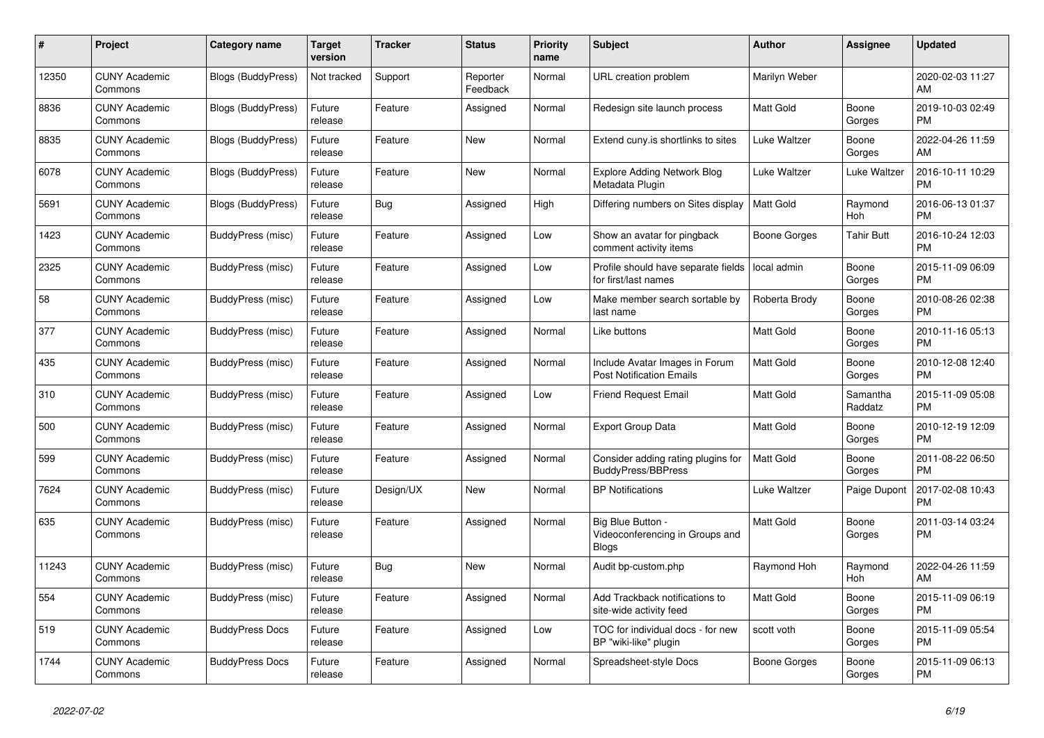| #     | Project                         | <b>Category name</b>      | Target<br>version | <b>Tracker</b> | <b>Status</b>        | <b>Priority</b><br>name | <b>Subject</b>                                                       | <b>Author</b>    | Assignee            | <b>Updated</b>                |
|-------|---------------------------------|---------------------------|-------------------|----------------|----------------------|-------------------------|----------------------------------------------------------------------|------------------|---------------------|-------------------------------|
| 12350 | <b>CUNY Academic</b><br>Commons | Blogs (BuddyPress)        | Not tracked       | Support        | Reporter<br>Feedback | Normal                  | URL creation problem                                                 | Marilyn Weber    |                     | 2020-02-03 11:27<br>AM        |
| 8836  | <b>CUNY Academic</b><br>Commons | <b>Blogs (BuddyPress)</b> | Future<br>release | Feature        | Assigned             | Normal                  | Redesign site launch process                                         | Matt Gold        | Boone<br>Gorges     | 2019-10-03 02:49<br><b>PM</b> |
| 8835  | <b>CUNY Academic</b><br>Commons | Blogs (BuddyPress)        | Future<br>release | Feature        | New                  | Normal                  | Extend cuny.is shortlinks to sites                                   | Luke Waltzer     | Boone<br>Gorges     | 2022-04-26 11:59<br>AM        |
| 6078  | <b>CUNY Academic</b><br>Commons | <b>Blogs (BuddyPress)</b> | Future<br>release | Feature        | <b>New</b>           | Normal                  | <b>Explore Adding Network Blog</b><br>Metadata Plugin                | Luke Waltzer     | Luke Waltzer        | 2016-10-11 10:29<br><b>PM</b> |
| 5691  | <b>CUNY Academic</b><br>Commons | <b>Blogs (BuddyPress)</b> | Future<br>release | Bug            | Assigned             | High                    | Differing numbers on Sites display                                   | <b>Matt Gold</b> | Raymond<br>Hoh      | 2016-06-13 01:37<br><b>PM</b> |
| 1423  | <b>CUNY Academic</b><br>Commons | BuddyPress (misc)         | Future<br>release | Feature        | Assigned             | Low                     | Show an avatar for pingback<br>comment activity items                | Boone Gorges     | <b>Tahir Butt</b>   | 2016-10-24 12:03<br><b>PM</b> |
| 2325  | <b>CUNY Academic</b><br>Commons | BuddyPress (misc)         | Future<br>release | Feature        | Assigned             | Low                     | Profile should have separate fields<br>for first/last names          | local admin      | Boone<br>Gorges     | 2015-11-09 06:09<br><b>PM</b> |
| 58    | <b>CUNY Academic</b><br>Commons | BuddyPress (misc)         | Future<br>release | Feature        | Assigned             | Low                     | Make member search sortable by<br>last name                          | Roberta Brody    | Boone<br>Gorges     | 2010-08-26 02:38<br><b>PM</b> |
| 377   | <b>CUNY Academic</b><br>Commons | BuddyPress (misc)         | Future<br>release | Feature        | Assigned             | Normal                  | Like buttons                                                         | Matt Gold        | Boone<br>Gorges     | 2010-11-16 05:13<br><b>PM</b> |
| 435   | <b>CUNY Academic</b><br>Commons | BuddyPress (misc)         | Future<br>release | Feature        | Assigned             | Normal                  | Include Avatar Images in Forum<br><b>Post Notification Emails</b>    | <b>Matt Gold</b> | Boone<br>Gorges     | 2010-12-08 12:40<br><b>PM</b> |
| 310   | <b>CUNY Academic</b><br>Commons | BuddyPress (misc)         | Future<br>release | Feature        | Assigned             | Low                     | <b>Friend Request Email</b>                                          | Matt Gold        | Samantha<br>Raddatz | 2015-11-09 05:08<br><b>PM</b> |
| 500   | <b>CUNY Academic</b><br>Commons | BuddyPress (misc)         | Future<br>release | Feature        | Assigned             | Normal                  | <b>Export Group Data</b>                                             | Matt Gold        | Boone<br>Gorges     | 2010-12-19 12:09<br><b>PM</b> |
| 599   | <b>CUNY Academic</b><br>Commons | BuddyPress (misc)         | Future<br>release | Feature        | Assigned             | Normal                  | Consider adding rating plugins for<br><b>BuddyPress/BBPress</b>      | <b>Matt Gold</b> | Boone<br>Gorges     | 2011-08-22 06:50<br><b>PM</b> |
| 7624  | <b>CUNY Academic</b><br>Commons | BuddyPress (misc)         | Future<br>release | Design/UX      | <b>New</b>           | Normal                  | <b>BP Notifications</b>                                              | Luke Waltzer     | Paige Dupont        | 2017-02-08 10:43<br><b>PM</b> |
| 635   | <b>CUNY Academic</b><br>Commons | BuddyPress (misc)         | Future<br>release | Feature        | Assigned             | Normal                  | Big Blue Button -<br>Videoconferencing in Groups and<br><b>Blogs</b> | <b>Matt Gold</b> | Boone<br>Gorges     | 2011-03-14 03:24<br>PM        |
| 11243 | <b>CUNY Academic</b><br>Commons | BuddyPress (misc)         | Future<br>release | <b>Bug</b>     | New                  | Normal                  | Audit bp-custom.php                                                  | Raymond Hoh      | Raymond<br>Hoh      | 2022-04-26 11:59<br>AM        |
| 554   | <b>CUNY Academic</b><br>Commons | BuddyPress (misc)         | Future<br>release | Feature        | Assigned             | Normal                  | Add Trackback notifications to<br>site-wide activity feed            | Matt Gold        | Boone<br>Gorges     | 2015-11-09 06:19<br><b>PM</b> |
| 519   | <b>CUNY Academic</b><br>Commons | <b>BuddyPress Docs</b>    | Future<br>release | Feature        | Assigned             | Low                     | TOC for individual docs - for new<br>BP "wiki-like" plugin           | scott voth       | Boone<br>Gorges     | 2015-11-09 05:54<br><b>PM</b> |
| 1744  | <b>CUNY Academic</b><br>Commons | <b>BuddyPress Docs</b>    | Future<br>release | Feature        | Assigned             | Normal                  | Spreadsheet-style Docs                                               | Boone Gorges     | Boone<br>Gorges     | 2015-11-09 06:13<br><b>PM</b> |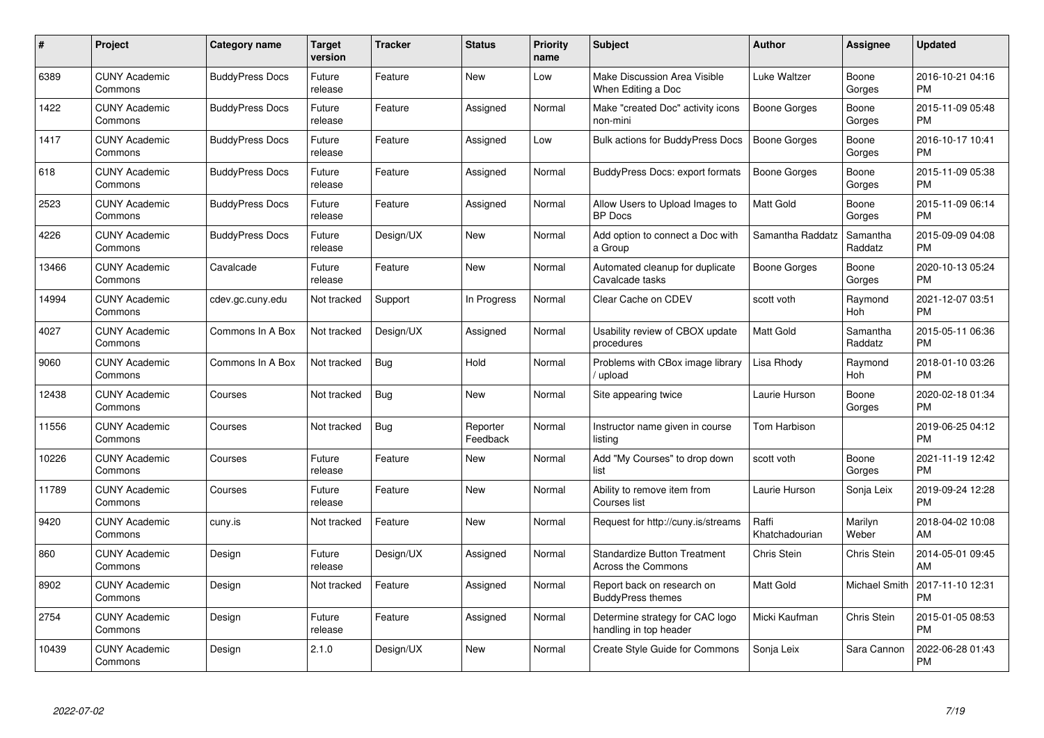| $\#$  | Project                         | <b>Category name</b>   | <b>Target</b><br>version | <b>Tracker</b> | <b>Status</b>        | Priority<br>name | <b>Subject</b>                                                   | <b>Author</b>           | <b>Assignee</b>     | <b>Updated</b>                |
|-------|---------------------------------|------------------------|--------------------------|----------------|----------------------|------------------|------------------------------------------------------------------|-------------------------|---------------------|-------------------------------|
| 6389  | <b>CUNY Academic</b><br>Commons | <b>BuddyPress Docs</b> | Future<br>release        | Feature        | <b>New</b>           | Low              | Make Discussion Area Visible<br>When Editing a Doc               | Luke Waltzer            | Boone<br>Gorges     | 2016-10-21 04:16<br><b>PM</b> |
| 1422  | <b>CUNY Academic</b><br>Commons | <b>BuddyPress Docs</b> | Future<br>release        | Feature        | Assigned             | Normal           | Make "created Doc" activity icons<br>non-mini                    | Boone Gorges            | Boone<br>Gorges     | 2015-11-09 05:48<br><b>PM</b> |
| 1417  | <b>CUNY Academic</b><br>Commons | <b>BuddyPress Docs</b> | Future<br>release        | Feature        | Assigned             | Low              | Bulk actions for BuddyPress Docs                                 | <b>Boone Gorges</b>     | Boone<br>Gorges     | 2016-10-17 10:41<br><b>PM</b> |
| 618   | <b>CUNY Academic</b><br>Commons | <b>BuddyPress Docs</b> | Future<br>release        | Feature        | Assigned             | Normal           | BuddyPress Docs: export formats                                  | Boone Gorges            | Boone<br>Gorges     | 2015-11-09 05:38<br><b>PM</b> |
| 2523  | <b>CUNY Academic</b><br>Commons | <b>BuddyPress Docs</b> | Future<br>release        | Feature        | Assigned             | Normal           | Allow Users to Upload Images to<br><b>BP</b> Docs                | <b>Matt Gold</b>        | Boone<br>Gorges     | 2015-11-09 06:14<br><b>PM</b> |
| 4226  | <b>CUNY Academic</b><br>Commons | <b>BuddyPress Docs</b> | Future<br>release        | Design/UX      | New                  | Normal           | Add option to connect a Doc with<br>a Group                      | Samantha Raddatz        | Samantha<br>Raddatz | 2015-09-09 04:08<br><b>PM</b> |
| 13466 | <b>CUNY Academic</b><br>Commons | Cavalcade              | Future<br>release        | Feature        | <b>New</b>           | Normal           | Automated cleanup for duplicate<br>Cavalcade tasks               | Boone Gorges            | Boone<br>Gorges     | 2020-10-13 05:24<br><b>PM</b> |
| 14994 | <b>CUNY Academic</b><br>Commons | cdev.gc.cuny.edu       | Not tracked              | Support        | In Progress          | Normal           | Clear Cache on CDEV                                              | scott voth              | Raymond<br>Hoh      | 2021-12-07 03:51<br><b>PM</b> |
| 4027  | <b>CUNY Academic</b><br>Commons | Commons In A Box       | Not tracked              | Design/UX      | Assigned             | Normal           | Usability review of CBOX update<br>procedures                    | <b>Matt Gold</b>        | Samantha<br>Raddatz | 2015-05-11 06:36<br><b>PM</b> |
| 9060  | <b>CUNY Academic</b><br>Commons | Commons In A Box       | Not tracked              | <b>Bug</b>     | Hold                 | Normal           | Problems with CBox image library<br>/ upload                     | Lisa Rhody              | Raymond<br>Hoh      | 2018-01-10 03:26<br><b>PM</b> |
| 12438 | <b>CUNY Academic</b><br>Commons | Courses                | Not tracked              | Bug            | New                  | Normal           | Site appearing twice                                             | Laurie Hurson           | Boone<br>Gorges     | 2020-02-18 01:34<br><b>PM</b> |
| 11556 | <b>CUNY Academic</b><br>Commons | Courses                | Not tracked              | <b>Bug</b>     | Reporter<br>Feedback | Normal           | Instructor name given in course<br>listing                       | Tom Harbison            |                     | 2019-06-25 04:12<br><b>PM</b> |
| 10226 | <b>CUNY Academic</b><br>Commons | Courses                | Future<br>release        | Feature        | New                  | Normal           | Add "My Courses" to drop down<br>list                            | scott voth              | Boone<br>Gorges     | 2021-11-19 12:42<br><b>PM</b> |
| 11789 | <b>CUNY Academic</b><br>Commons | Courses                | Future<br>release        | Feature        | New                  | Normal           | Ability to remove item from<br>Courses list                      | Laurie Hurson           | Sonja Leix          | 2019-09-24 12:28<br><b>PM</b> |
| 9420  | <b>CUNY Academic</b><br>Commons | cuny.is                | Not tracked              | Feature        | New                  | Normal           | Request for http://cuny.is/streams                               | Raffi<br>Khatchadourian | Marilyn<br>Weber    | 2018-04-02 10:08<br>AM        |
| 860   | <b>CUNY Academic</b><br>Commons | Design                 | Future<br>release        | Design/UX      | Assigned             | Normal           | <b>Standardize Button Treatment</b><br><b>Across the Commons</b> | Chris Stein             | Chris Stein         | 2014-05-01 09:45<br>AM        |
| 8902  | <b>CUNY Academic</b><br>Commons | Design                 | Not tracked              | Feature        | Assigned             | Normal           | Report back on research on<br><b>BuddyPress themes</b>           | <b>Matt Gold</b>        | Michael Smith       | 2017-11-10 12:31<br><b>PM</b> |
| 2754  | <b>CUNY Academic</b><br>Commons | Design                 | Future<br>release        | Feature        | Assigned             | Normal           | Determine strategy for CAC logo<br>handling in top header        | Micki Kaufman           | Chris Stein         | 2015-01-05 08:53<br><b>PM</b> |
| 10439 | <b>CUNY Academic</b><br>Commons | Design                 | 2.1.0                    | Design/UX      | <b>New</b>           | Normal           | Create Style Guide for Commons                                   | Sonja Leix              | Sara Cannon         | 2022-06-28 01:43<br><b>PM</b> |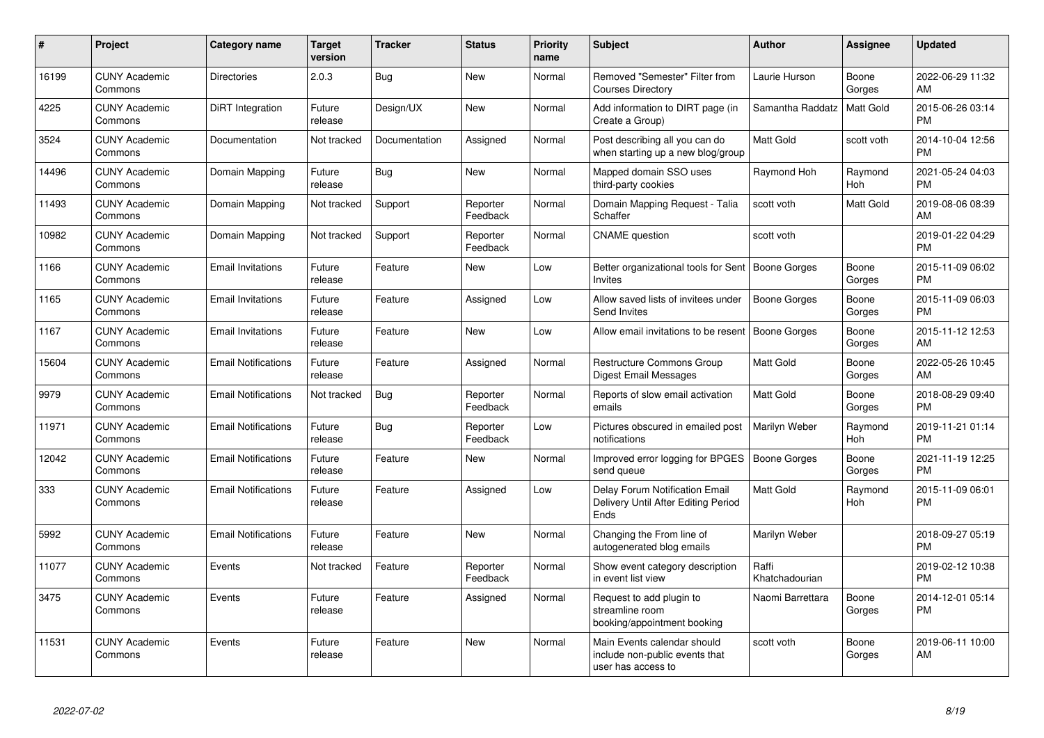| $\#$  | Project                         | <b>Category name</b>       | <b>Target</b><br>version | <b>Tracker</b> | <b>Status</b>        | <b>Priority</b><br>name | <b>Subject</b>                                                                      | <b>Author</b>           | Assignee        | <b>Updated</b>                |
|-------|---------------------------------|----------------------------|--------------------------|----------------|----------------------|-------------------------|-------------------------------------------------------------------------------------|-------------------------|-----------------|-------------------------------|
| 16199 | <b>CUNY Academic</b><br>Commons | <b>Directories</b>         | 2.0.3                    | Bug            | <b>New</b>           | Normal                  | Removed "Semester" Filter from<br><b>Courses Directory</b>                          | Laurie Hurson           | Boone<br>Gorges | 2022-06-29 11:32<br>AM        |
| 4225  | <b>CUNY Academic</b><br>Commons | <b>DiRT</b> Integration    | Future<br>release        | Design/UX      | <b>New</b>           | Normal                  | Add information to DIRT page (in<br>Create a Group)                                 | Samantha Raddatz        | Matt Gold       | 2015-06-26 03:14<br><b>PM</b> |
| 3524  | <b>CUNY Academic</b><br>Commons | Documentation              | Not tracked              | Documentation  | Assigned             | Normal                  | Post describing all you can do<br>when starting up a new blog/group                 | <b>Matt Gold</b>        | scott voth      | 2014-10-04 12:56<br><b>PM</b> |
| 14496 | <b>CUNY Academic</b><br>Commons | Domain Mapping             | Future<br>release        | Bug            | <b>New</b>           | Normal                  | Mapped domain SSO uses<br>third-party cookies                                       | Raymond Hoh             | Raymond<br>Hoh  | 2021-05-24 04:03<br><b>PM</b> |
| 11493 | <b>CUNY Academic</b><br>Commons | Domain Mapping             | Not tracked              | Support        | Reporter<br>Feedback | Normal                  | Domain Mapping Request - Talia<br>Schaffer                                          | scott voth              | Matt Gold       | 2019-08-06 08:39<br>AM        |
| 10982 | <b>CUNY Academic</b><br>Commons | Domain Mapping             | Not tracked              | Support        | Reporter<br>Feedback | Normal                  | <b>CNAME</b> question                                                               | scott voth              |                 | 2019-01-22 04:29<br><b>PM</b> |
| 1166  | <b>CUNY Academic</b><br>Commons | <b>Email Invitations</b>   | Future<br>release        | Feature        | New                  | Low                     | Better organizational tools for Sent   Boone Gorges<br><b>Invites</b>               |                         | Boone<br>Gorges | 2015-11-09 06:02<br><b>PM</b> |
| 1165  | <b>CUNY Academic</b><br>Commons | <b>Email Invitations</b>   | Future<br>release        | Feature        | Assigned             | Low                     | Allow saved lists of invitees under<br>Send Invites                                 | <b>Boone Gorges</b>     | Boone<br>Gorges | 2015-11-09 06:03<br><b>PM</b> |
| 1167  | <b>CUNY Academic</b><br>Commons | <b>Email Invitations</b>   | Future<br>release        | Feature        | <b>New</b>           | Low                     | Allow email invitations to be resent                                                | Boone Gorges            | Boone<br>Gorges | 2015-11-12 12:53<br>AM        |
| 15604 | <b>CUNY Academic</b><br>Commons | <b>Email Notifications</b> | Future<br>release        | Feature        | Assigned             | Normal                  | <b>Restructure Commons Group</b><br><b>Digest Email Messages</b>                    | Matt Gold               | Boone<br>Gorges | 2022-05-26 10:45<br>AM        |
| 9979  | <b>CUNY Academic</b><br>Commons | <b>Email Notifications</b> | Not tracked              | Bug            | Reporter<br>Feedback | Normal                  | Reports of slow email activation<br>emails                                          | Matt Gold               | Boone<br>Gorges | 2018-08-29 09:40<br><b>PM</b> |
| 11971 | <b>CUNY Academic</b><br>Commons | <b>Email Notifications</b> | Future<br>release        | Bug            | Reporter<br>Feedback | Low                     | Pictures obscured in emailed post<br>notifications                                  | Marilyn Weber           | Raymond<br>Hoh  | 2019-11-21 01:14<br><b>PM</b> |
| 12042 | <b>CUNY Academic</b><br>Commons | <b>Email Notifications</b> | Future<br>release        | Feature        | <b>New</b>           | Normal                  | Improved error logging for BPGES<br>send queue                                      | <b>Boone Gorges</b>     | Boone<br>Gorges | 2021-11-19 12:25<br><b>PM</b> |
| 333   | <b>CUNY Academic</b><br>Commons | <b>Email Notifications</b> | Future<br>release        | Feature        | Assigned             | Low                     | Delay Forum Notification Email<br>Delivery Until After Editing Period<br>Ends       | <b>Matt Gold</b>        | Raymond<br>Hoh  | 2015-11-09 06:01<br><b>PM</b> |
| 5992  | <b>CUNY Academic</b><br>Commons | <b>Email Notifications</b> | Future<br>release        | Feature        | <b>New</b>           | Normal                  | Changing the From line of<br>autogenerated blog emails                              | Marilyn Weber           |                 | 2018-09-27 05:19<br><b>PM</b> |
| 11077 | <b>CUNY Academic</b><br>Commons | Events                     | Not tracked              | Feature        | Reporter<br>Feedback | Normal                  | Show event category description<br>in event list view                               | Raffi<br>Khatchadourian |                 | 2019-02-12 10:38<br><b>PM</b> |
| 3475  | <b>CUNY Academic</b><br>Commons | Events                     | Future<br>release        | Feature        | Assigned             | Normal                  | Request to add plugin to<br>streamline room<br>booking/appointment booking          | Naomi Barrettara        | Boone<br>Gorges | 2014-12-01 05:14<br><b>PM</b> |
| 11531 | <b>CUNY Academic</b><br>Commons | Events                     | Future<br>release        | Feature        | <b>New</b>           | Normal                  | Main Events calendar should<br>include non-public events that<br>user has access to | scott voth              | Boone<br>Gorges | 2019-06-11 10:00<br>AM        |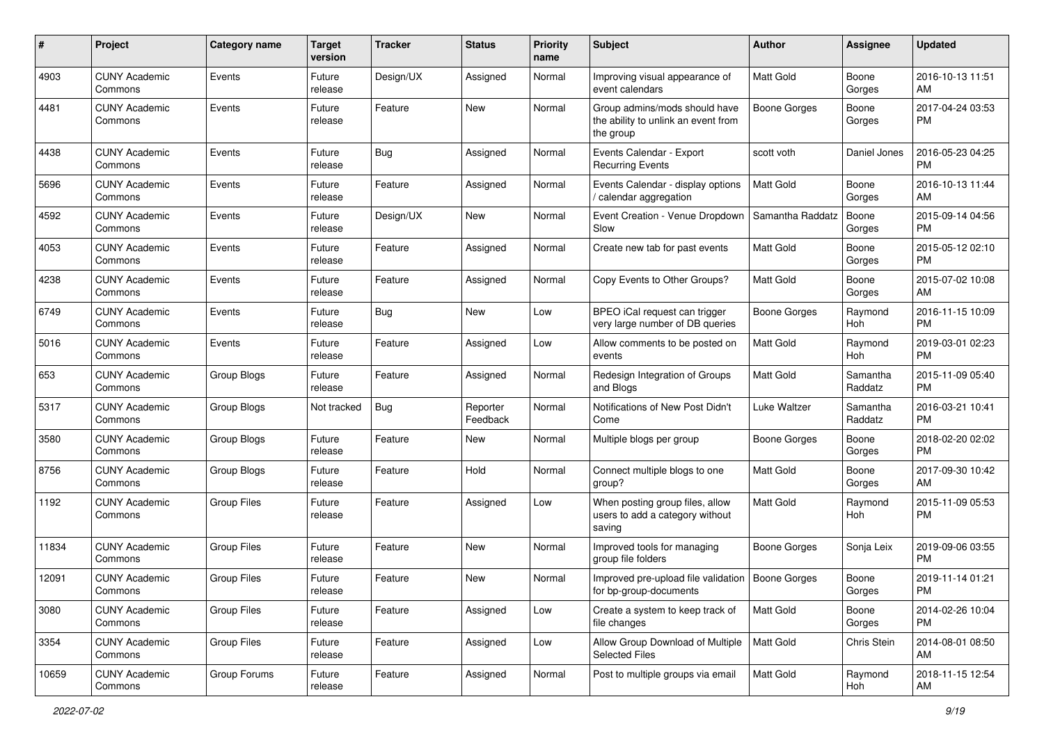| #     | Project                         | <b>Category name</b> | <b>Target</b><br>version | Tracker   | <b>Status</b>        | <b>Priority</b><br>name | Subject                                                                           | Author              | <b>Assignee</b>     | <b>Updated</b>                |
|-------|---------------------------------|----------------------|--------------------------|-----------|----------------------|-------------------------|-----------------------------------------------------------------------------------|---------------------|---------------------|-------------------------------|
| 4903  | <b>CUNY Academic</b><br>Commons | Events               | Future<br>release        | Design/UX | Assigned             | Normal                  | Improving visual appearance of<br>event calendars                                 | <b>Matt Gold</b>    | Boone<br>Gorges     | 2016-10-13 11:51<br>AM        |
| 4481  | <b>CUNY Academic</b><br>Commons | Events               | Future<br>release        | Feature   | New                  | Normal                  | Group admins/mods should have<br>the ability to unlink an event from<br>the group | <b>Boone Gorges</b> | Boone<br>Gorges     | 2017-04-24 03:53<br><b>PM</b> |
| 4438  | <b>CUNY Academic</b><br>Commons | Events               | Future<br>release        | Bug       | Assigned             | Normal                  | Events Calendar - Export<br><b>Recurring Events</b>                               | scott voth          | Daniel Jones        | 2016-05-23 04:25<br><b>PM</b> |
| 5696  | <b>CUNY Academic</b><br>Commons | Events               | Future<br>release        | Feature   | Assigned             | Normal                  | Events Calendar - display options<br>/ calendar aggregation                       | Matt Gold           | Boone<br>Gorges     | 2016-10-13 11:44<br>AM        |
| 4592  | <b>CUNY Academic</b><br>Commons | Events               | Future<br>release        | Design/UX | New                  | Normal                  | Event Creation - Venue Dropdown<br>Slow                                           | Samantha Raddatz    | Boone<br>Gorges     | 2015-09-14 04:56<br>PM.       |
| 4053  | <b>CUNY Academic</b><br>Commons | Events               | Future<br>release        | Feature   | Assigned             | Normal                  | Create new tab for past events                                                    | Matt Gold           | Boone<br>Gorges     | 2015-05-12 02:10<br><b>PM</b> |
| 4238  | <b>CUNY Academic</b><br>Commons | Events               | Future<br>release        | Feature   | Assigned             | Normal                  | Copy Events to Other Groups?                                                      | <b>Matt Gold</b>    | Boone<br>Gorges     | 2015-07-02 10:08<br>AM        |
| 6749  | <b>CUNY Academic</b><br>Commons | Events               | Future<br>release        | Bug       | New                  | Low                     | BPEO iCal request can trigger<br>very large number of DB queries                  | <b>Boone Gorges</b> | Raymond<br>Hoh      | 2016-11-15 10:09<br><b>PM</b> |
| 5016  | <b>CUNY Academic</b><br>Commons | Events               | Future<br>release        | Feature   | Assigned             | Low                     | Allow comments to be posted on<br>events                                          | <b>Matt Gold</b>    | Raymond<br>Hoh      | 2019-03-01 02:23<br><b>PM</b> |
| 653   | <b>CUNY Academic</b><br>Commons | Group Blogs          | Future<br>release        | Feature   | Assigned             | Normal                  | Redesign Integration of Groups<br>and Blogs                                       | <b>Matt Gold</b>    | Samantha<br>Raddatz | 2015-11-09 05:40<br><b>PM</b> |
| 5317  | <b>CUNY Academic</b><br>Commons | Group Blogs          | Not tracked              | Bug       | Reporter<br>Feedback | Normal                  | Notifications of New Post Didn't<br>Come                                          | Luke Waltzer        | Samantha<br>Raddatz | 2016-03-21 10:41<br><b>PM</b> |
| 3580  | <b>CUNY Academic</b><br>Commons | Group Blogs          | Future<br>release        | Feature   | New                  | Normal                  | Multiple blogs per group                                                          | Boone Gorges        | Boone<br>Gorges     | 2018-02-20 02:02<br>PM.       |
| 8756  | <b>CUNY Academic</b><br>Commons | Group Blogs          | Future<br>release        | Feature   | Hold                 | Normal                  | Connect multiple blogs to one<br>group?                                           | <b>Matt Gold</b>    | Boone<br>Gorges     | 2017-09-30 10:42<br>AM        |
| 1192  | <b>CUNY Academic</b><br>Commons | <b>Group Files</b>   | Future<br>release        | Feature   | Assigned             | Low                     | When posting group files, allow<br>users to add a category without<br>saving      | <b>Matt Gold</b>    | Raymond<br>Hoh      | 2015-11-09 05:53<br><b>PM</b> |
| 11834 | <b>CUNY Academic</b><br>Commons | <b>Group Files</b>   | Future<br>release        | Feature   | New                  | Normal                  | Improved tools for managing<br>group file folders                                 | Boone Gorges        | Sonja Leix          | 2019-09-06 03:55<br><b>PM</b> |
| 12091 | <b>CUNY Academic</b><br>Commons | <b>Group Files</b>   | Future<br>release        | Feature   | New                  | Normal                  | Improved pre-upload file validation   Boone Gorges<br>for bp-group-documents      |                     | Boone<br>Gorges     | 2019-11-14 01:21<br><b>PM</b> |
| 3080  | <b>CUNY Academic</b><br>Commons | Group Files          | Future<br>release        | Feature   | Assigned             | Low                     | Create a system to keep track of<br>file changes                                  | Matt Gold           | Boone<br>Gorges     | 2014-02-26 10:04<br>PM.       |
| 3354  | <b>CUNY Academic</b><br>Commons | Group Files          | Future<br>release        | Feature   | Assigned             | Low                     | Allow Group Download of Multiple<br><b>Selected Files</b>                         | Matt Gold           | Chris Stein         | 2014-08-01 08:50<br>AM        |
| 10659 | <b>CUNY Academic</b><br>Commons | Group Forums         | Future<br>release        | Feature   | Assigned             | Normal                  | Post to multiple groups via email                                                 | Matt Gold           | Raymond<br>Hoh      | 2018-11-15 12:54<br>AM        |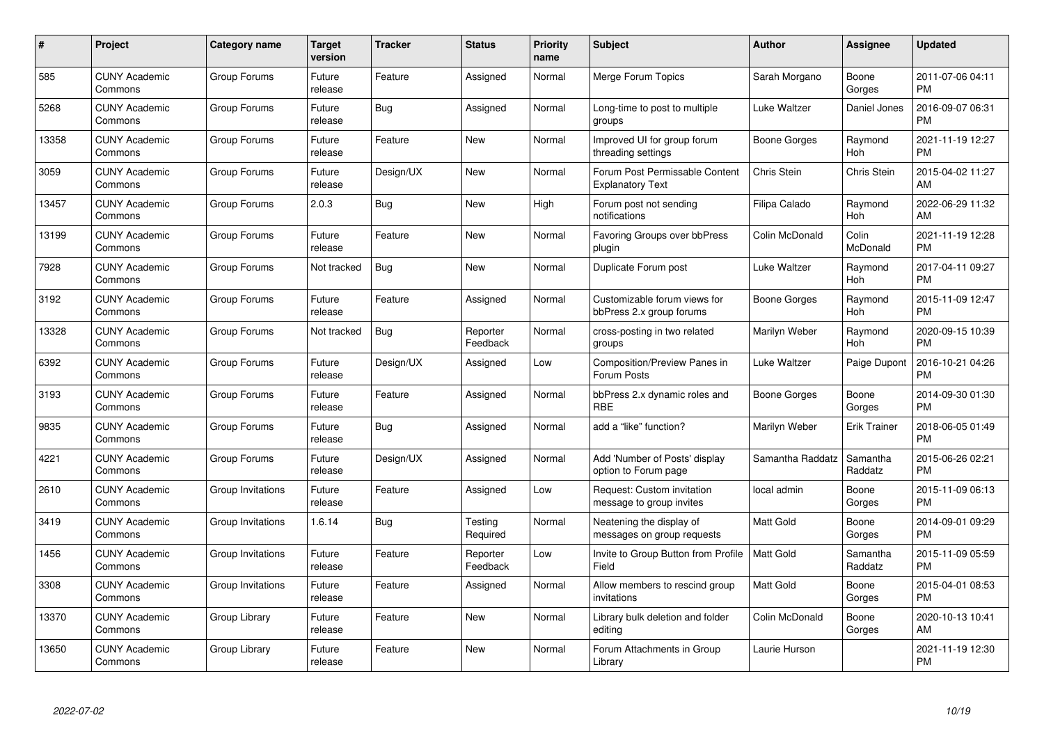| #     | Project                         | <b>Category name</b> | Target<br>version | <b>Tracker</b> | <b>Status</b>        | <b>Priority</b><br>name | <b>Subject</b>                                            | <b>Author</b>    | Assignee              | <b>Updated</b>                |
|-------|---------------------------------|----------------------|-------------------|----------------|----------------------|-------------------------|-----------------------------------------------------------|------------------|-----------------------|-------------------------------|
| 585   | <b>CUNY Academic</b><br>Commons | Group Forums         | Future<br>release | Feature        | Assigned             | Normal                  | Merge Forum Topics                                        | Sarah Morgano    | Boone<br>Gorges       | 2011-07-06 04:11<br><b>PM</b> |
| 5268  | <b>CUNY Academic</b><br>Commons | Group Forums         | Future<br>release | Bug            | Assigned             | Normal                  | Long-time to post to multiple<br>groups                   | Luke Waltzer     | Daniel Jones          | 2016-09-07 06:31<br><b>PM</b> |
| 13358 | <b>CUNY Academic</b><br>Commons | Group Forums         | Future<br>release | Feature        | New                  | Normal                  | Improved UI for group forum<br>threading settings         | Boone Gorges     | Raymond<br><b>Hoh</b> | 2021-11-19 12:27<br><b>PM</b> |
| 3059  | <b>CUNY Academic</b><br>Commons | Group Forums         | Future<br>release | Design/UX      | <b>New</b>           | Normal                  | Forum Post Permissable Content<br><b>Explanatory Text</b> | Chris Stein      | Chris Stein           | 2015-04-02 11:27<br>AM        |
| 13457 | <b>CUNY Academic</b><br>Commons | Group Forums         | 2.0.3             | Bug            | <b>New</b>           | High                    | Forum post not sending<br>notifications                   | Filipa Calado    | Raymond<br>Hoh        | 2022-06-29 11:32<br>AM        |
| 13199 | <b>CUNY Academic</b><br>Commons | Group Forums         | Future<br>release | Feature        | New                  | Normal                  | Favoring Groups over bbPress<br>plugin                    | Colin McDonald   | Colin<br>McDonald     | 2021-11-19 12:28<br><b>PM</b> |
| 7928  | <b>CUNY Academic</b><br>Commons | Group Forums         | Not tracked       | <b>Bug</b>     | <b>New</b>           | Normal                  | Duplicate Forum post                                      | Luke Waltzer     | Raymond<br>Hoh        | 2017-04-11 09:27<br><b>PM</b> |
| 3192  | <b>CUNY Academic</b><br>Commons | Group Forums         | Future<br>release | Feature        | Assigned             | Normal                  | Customizable forum views for<br>bbPress 2.x group forums  | Boone Gorges     | Raymond<br>Hoh        | 2015-11-09 12:47<br><b>PM</b> |
| 13328 | <b>CUNY Academic</b><br>Commons | Group Forums         | Not tracked       | <b>Bug</b>     | Reporter<br>Feedback | Normal                  | cross-posting in two related<br>groups                    | Marilyn Weber    | Raymond<br>Hoh        | 2020-09-15 10:39<br><b>PM</b> |
| 6392  | <b>CUNY Academic</b><br>Commons | Group Forums         | Future<br>release | Design/UX      | Assigned             | Low                     | <b>Composition/Preview Panes in</b><br>Forum Posts        | Luke Waltzer     | Paige Dupont          | 2016-10-21 04:26<br><b>PM</b> |
| 3193  | <b>CUNY Academic</b><br>Commons | Group Forums         | Future<br>release | Feature        | Assigned             | Normal                  | bbPress 2.x dynamic roles and<br><b>RBE</b>               | Boone Gorges     | Boone<br>Gorges       | 2014-09-30 01:30<br><b>PM</b> |
| 9835  | <b>CUNY Academic</b><br>Commons | Group Forums         | Future<br>release | Bug            | Assigned             | Normal                  | add a "like" function?                                    | Marilyn Weber    | <b>Erik Trainer</b>   | 2018-06-05 01:49<br><b>PM</b> |
| 4221  | <b>CUNY Academic</b><br>Commons | Group Forums         | Future<br>release | Design/UX      | Assigned             | Normal                  | Add 'Number of Posts' display<br>option to Forum page     | Samantha Raddatz | Samantha<br>Raddatz   | 2015-06-26 02:21<br>PM        |
| 2610  | <b>CUNY Academic</b><br>Commons | Group Invitations    | Future<br>release | Feature        | Assigned             | Low                     | Request: Custom invitation<br>message to group invites    | local admin      | Boone<br>Gorges       | 2015-11-09 06:13<br><b>PM</b> |
| 3419  | <b>CUNY Academic</b><br>Commons | Group Invitations    | 1.6.14            | Bug            | Testing<br>Required  | Normal                  | Neatening the display of<br>messages on group requests    | Matt Gold        | Boone<br>Gorges       | 2014-09-01 09:29<br><b>PM</b> |
| 1456  | <b>CUNY Academic</b><br>Commons | Group Invitations    | Future<br>release | Feature        | Reporter<br>Feedback | Low                     | Invite to Group Button from Profile<br>Field              | Matt Gold        | Samantha<br>Raddatz   | 2015-11-09 05:59<br><b>PM</b> |
| 3308  | <b>CUNY Academic</b><br>Commons | Group Invitations    | Future<br>release | Feature        | Assigned             | Normal                  | Allow members to rescind group<br>invitations             | <b>Matt Gold</b> | Boone<br>Gorges       | 2015-04-01 08:53<br><b>PM</b> |
| 13370 | <b>CUNY Academic</b><br>Commons | Group Library        | Future<br>release | Feature        | <b>New</b>           | Normal                  | Library bulk deletion and folder<br>editing               | Colin McDonald   | Boone<br>Gorges       | 2020-10-13 10:41<br>AM        |
| 13650 | <b>CUNY Academic</b><br>Commons | Group Library        | Future<br>release | Feature        | <b>New</b>           | Normal                  | Forum Attachments in Group<br>Library                     | Laurie Hurson    |                       | 2021-11-19 12:30<br>PM        |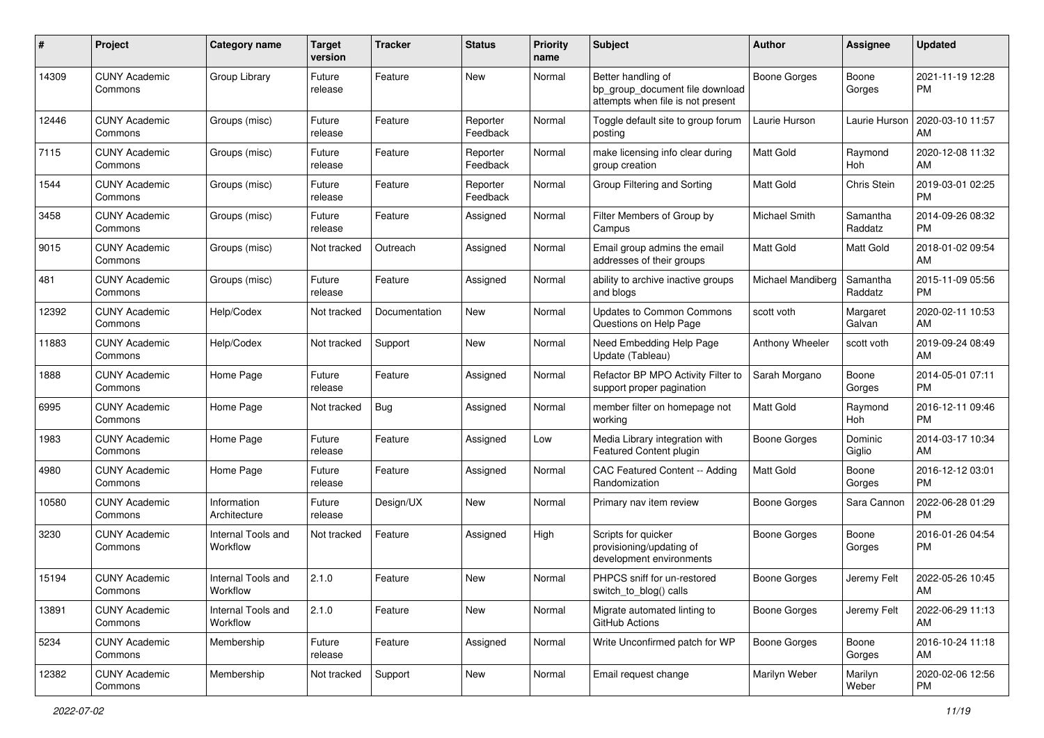| #     | Project                         | <b>Category name</b>           | <b>Target</b><br>version | <b>Tracker</b> | <b>Status</b>        | <b>Priority</b><br>name | <b>Subject</b>                                                                             | Author              | <b>Assignee</b>     | <b>Updated</b>                |
|-------|---------------------------------|--------------------------------|--------------------------|----------------|----------------------|-------------------------|--------------------------------------------------------------------------------------------|---------------------|---------------------|-------------------------------|
| 14309 | <b>CUNY Academic</b><br>Commons | Group Library                  | Future<br>release        | Feature        | <b>New</b>           | Normal                  | Better handling of<br>bp_group_document file download<br>attempts when file is not present | <b>Boone Gorges</b> | Boone<br>Gorges     | 2021-11-19 12:28<br><b>PM</b> |
| 12446 | <b>CUNY Academic</b><br>Commons | Groups (misc)                  | Future<br>release        | Feature        | Reporter<br>Feedback | Normal                  | Toggle default site to group forum<br>posting                                              | Laurie Hurson       | Laurie Hurson       | 2020-03-10 11:57<br>AM        |
| 7115  | <b>CUNY Academic</b><br>Commons | Groups (misc)                  | Future<br>release        | Feature        | Reporter<br>Feedback | Normal                  | make licensing info clear during<br>group creation                                         | <b>Matt Gold</b>    | Raymond<br>Hoh      | 2020-12-08 11:32<br>AM        |
| 1544  | <b>CUNY Academic</b><br>Commons | Groups (misc)                  | Future<br>release        | Feature        | Reporter<br>Feedback | Normal                  | Group Filtering and Sorting                                                                | <b>Matt Gold</b>    | Chris Stein         | 2019-03-01 02:25<br><b>PM</b> |
| 3458  | <b>CUNY Academic</b><br>Commons | Groups (misc)                  | Future<br>release        | Feature        | Assigned             | Normal                  | Filter Members of Group by<br>Campus                                                       | Michael Smith       | Samantha<br>Raddatz | 2014-09-26 08:32<br><b>PM</b> |
| 9015  | <b>CUNY Academic</b><br>Commons | Groups (misc)                  | Not tracked              | Outreach       | Assigned             | Normal                  | Email group admins the email<br>addresses of their groups                                  | Matt Gold           | Matt Gold           | 2018-01-02 09:54<br>AM        |
| 481   | <b>CUNY Academic</b><br>Commons | Groups (misc)                  | Future<br>release        | Feature        | Assigned             | Normal                  | ability to archive inactive groups<br>and blogs                                            | Michael Mandiberg   | Samantha<br>Raddatz | 2015-11-09 05:56<br><b>PM</b> |
| 12392 | <b>CUNY Academic</b><br>Commons | Help/Codex                     | Not tracked              | Documentation  | New                  | Normal                  | <b>Updates to Common Commons</b><br>Questions on Help Page                                 | scott voth          | Margaret<br>Galvan  | 2020-02-11 10:53<br>AM        |
| 11883 | <b>CUNY Academic</b><br>Commons | Help/Codex                     | Not tracked              | Support        | <b>New</b>           | Normal                  | Need Embedding Help Page<br>Update (Tableau)                                               | Anthony Wheeler     | scott voth          | 2019-09-24 08:49<br>AM        |
| 1888  | <b>CUNY Academic</b><br>Commons | Home Page                      | Future<br>release        | Feature        | Assigned             | Normal                  | Refactor BP MPO Activity Filter to<br>support proper pagination                            | Sarah Morgano       | Boone<br>Gorges     | 2014-05-01 07:11<br><b>PM</b> |
| 6995  | <b>CUNY Academic</b><br>Commons | Home Page                      | Not tracked              | Bug            | Assigned             | Normal                  | member filter on homepage not<br>working                                                   | Matt Gold           | Raymond<br>Hoh      | 2016-12-11 09:46<br><b>PM</b> |
| 1983  | <b>CUNY Academic</b><br>Commons | Home Page                      | Future<br>release        | Feature        | Assigned             | Low                     | Media Library integration with<br>Featured Content plugin                                  | Boone Gorges        | Dominic<br>Giglio   | 2014-03-17 10:34<br>AM        |
| 4980  | <b>CUNY Academic</b><br>Commons | Home Page                      | Future<br>release        | Feature        | Assigned             | Normal                  | CAC Featured Content -- Adding<br>Randomization                                            | <b>Matt Gold</b>    | Boone<br>Gorges     | 2016-12-12 03:01<br><b>PM</b> |
| 10580 | <b>CUNY Academic</b><br>Commons | Information<br>Architecture    | Future<br>release        | Design/UX      | New                  | Normal                  | Primary nav item review                                                                    | <b>Boone Gorges</b> | Sara Cannon         | 2022-06-28 01:29<br><b>PM</b> |
| 3230  | <b>CUNY Academic</b><br>Commons | Internal Tools and<br>Workflow | Not tracked              | Feature        | Assigned             | High                    | Scripts for quicker<br>provisioning/updating of<br>development environments                | Boone Gorges        | Boone<br>Gorges     | 2016-01-26 04:54<br><b>PM</b> |
| 15194 | <b>CUNY Academic</b><br>Commons | Internal Tools and<br>Workflow | 2.1.0                    | Feature        | New                  | Normal                  | PHPCS sniff for un-restored<br>switch_to_blog() calls                                      | <b>Boone Gorges</b> | Jeremy Felt         | 2022-05-26 10:45<br>AM        |
| 13891 | <b>CUNY Academic</b><br>Commons | Internal Tools and<br>Workflow | 2.1.0                    | Feature        | New                  | Normal                  | Migrate automated linting to<br>GitHub Actions                                             | Boone Gorges        | Jeremy Felt         | 2022-06-29 11:13<br>AM        |
| 5234  | <b>CUNY Academic</b><br>Commons | Membership                     | Future<br>release        | Feature        | Assigned             | Normal                  | Write Unconfirmed patch for WP                                                             | <b>Boone Gorges</b> | Boone<br>Gorges     | 2016-10-24 11:18<br>AM        |
| 12382 | <b>CUNY Academic</b><br>Commons | Membership                     | Not tracked              | Support        | New                  | Normal                  | Email request change                                                                       | Marilyn Weber       | Marilyn<br>Weber    | 2020-02-06 12:56<br><b>PM</b> |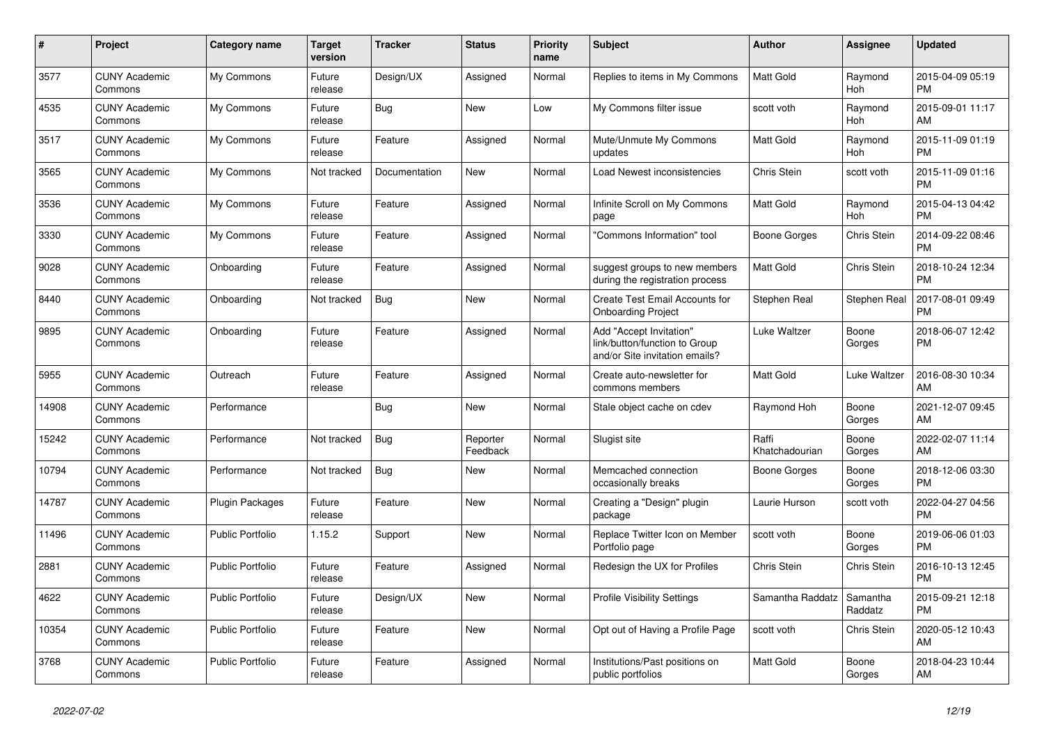| $\pmb{\#}$ | <b>Project</b>                  | Category name           | <b>Target</b><br>version | <b>Tracker</b> | <b>Status</b>        | <b>Priority</b><br>name | <b>Subject</b>                                                                             | <b>Author</b>           | Assignee            | <b>Updated</b>                |
|------------|---------------------------------|-------------------------|--------------------------|----------------|----------------------|-------------------------|--------------------------------------------------------------------------------------------|-------------------------|---------------------|-------------------------------|
| 3577       | <b>CUNY Academic</b><br>Commons | My Commons              | Future<br>release        | Design/UX      | Assigned             | Normal                  | Replies to items in My Commons                                                             | <b>Matt Gold</b>        | Raymond<br>Hoh      | 2015-04-09 05:19<br><b>PM</b> |
| 4535       | <b>CUNY Academic</b><br>Commons | My Commons              | Future<br>release        | <b>Bug</b>     | <b>New</b>           | Low                     | My Commons filter issue                                                                    | scott voth              | Raymond<br>Hoh      | 2015-09-01 11:17<br>AM        |
| 3517       | <b>CUNY Academic</b><br>Commons | My Commons              | Future<br>release        | Feature        | Assigned             | Normal                  | Mute/Unmute My Commons<br>updates                                                          | <b>Matt Gold</b>        | Raymond<br>Hoh      | 2015-11-09 01:19<br><b>PM</b> |
| 3565       | <b>CUNY Academic</b><br>Commons | My Commons              | Not tracked              | Documentation  | New                  | Normal                  | Load Newest inconsistencies                                                                | Chris Stein             | scott voth          | 2015-11-09 01:16<br><b>PM</b> |
| 3536       | <b>CUNY Academic</b><br>Commons | My Commons              | Future<br>release        | Feature        | Assigned             | Normal                  | Infinite Scroll on My Commons<br>page                                                      | Matt Gold               | Raymond<br>Hoh      | 2015-04-13 04:42<br><b>PM</b> |
| 3330       | <b>CUNY Academic</b><br>Commons | My Commons              | Future<br>release        | Feature        | Assigned             | Normal                  | "Commons Information" tool                                                                 | Boone Gorges            | Chris Stein         | 2014-09-22 08:46<br><b>PM</b> |
| 9028       | <b>CUNY Academic</b><br>Commons | Onboarding              | Future<br>release        | Feature        | Assigned             | Normal                  | suggest groups to new members<br>during the registration process                           | <b>Matt Gold</b>        | Chris Stein         | 2018-10-24 12:34<br><b>PM</b> |
| 8440       | <b>CUNY Academic</b><br>Commons | Onboarding              | Not tracked              | Bug            | New                  | Normal                  | Create Test Email Accounts for<br><b>Onboarding Project</b>                                | Stephen Real            | Stephen Real        | 2017-08-01 09:49<br><b>PM</b> |
| 9895       | <b>CUNY Academic</b><br>Commons | Onboarding              | Future<br>release        | Feature        | Assigned             | Normal                  | Add "Accept Invitation"<br>link/button/function to Group<br>and/or Site invitation emails? | Luke Waltzer            | Boone<br>Gorges     | 2018-06-07 12:42<br><b>PM</b> |
| 5955       | <b>CUNY Academic</b><br>Commons | Outreach                | Future<br>release        | Feature        | Assigned             | Normal                  | Create auto-newsletter for<br>commons members                                              | <b>Matt Gold</b>        | Luke Waltzer        | 2016-08-30 10:34<br>AM        |
| 14908      | <b>CUNY Academic</b><br>Commons | Performance             |                          | Bug            | New                  | Normal                  | Stale object cache on cdev                                                                 | Raymond Hoh             | Boone<br>Gorges     | 2021-12-07 09:45<br>AM        |
| 15242      | <b>CUNY Academic</b><br>Commons | Performance             | Not tracked              | Bug            | Reporter<br>Feedback | Normal                  | Slugist site                                                                               | Raffi<br>Khatchadourian | Boone<br>Gorges     | 2022-02-07 11:14<br>AM        |
| 10794      | <b>CUNY Academic</b><br>Commons | Performance             | Not tracked              | Bug            | <b>New</b>           | Normal                  | Memcached connection<br>occasionally breaks                                                | Boone Gorges            | Boone<br>Gorges     | 2018-12-06 03:30<br><b>PM</b> |
| 14787      | <b>CUNY Academic</b><br>Commons | <b>Plugin Packages</b>  | Future<br>release        | Feature        | New                  | Normal                  | Creating a "Design" plugin<br>package                                                      | Laurie Hurson           | scott voth          | 2022-04-27 04:56<br><b>PM</b> |
| 11496      | <b>CUNY Academic</b><br>Commons | <b>Public Portfolio</b> | 1.15.2                   | Support        | <b>New</b>           | Normal                  | Replace Twitter Icon on Member<br>Portfolio page                                           | scott voth              | Boone<br>Gorges     | 2019-06-06 01:03<br><b>PM</b> |
| 2881       | <b>CUNY Academic</b><br>Commons | <b>Public Portfolio</b> | Future<br>release        | Feature        | Assigned             | Normal                  | Redesign the UX for Profiles                                                               | Chris Stein             | Chris Stein         | 2016-10-13 12:45<br><b>PM</b> |
| 4622       | <b>CUNY Academic</b><br>Commons | <b>Public Portfolio</b> | Future<br>release        | Design/UX      | New                  | Normal                  | <b>Profile Visibility Settings</b>                                                         | Samantha Raddatz        | Samantha<br>Raddatz | 2015-09-21 12:18<br><b>PM</b> |
| 10354      | <b>CUNY Academic</b><br>Commons | <b>Public Portfolio</b> | Future<br>release        | Feature        | <b>New</b>           | Normal                  | Opt out of Having a Profile Page                                                           | scott voth              | <b>Chris Stein</b>  | 2020-05-12 10:43<br>AM        |
| 3768       | CUNY Academic<br>Commons        | <b>Public Portfolio</b> | Future<br>release        | Feature        | Assigned             | Normal                  | Institutions/Past positions on<br>public portfolios                                        | <b>Matt Gold</b>        | Boone<br>Gorges     | 2018-04-23 10:44<br>AM        |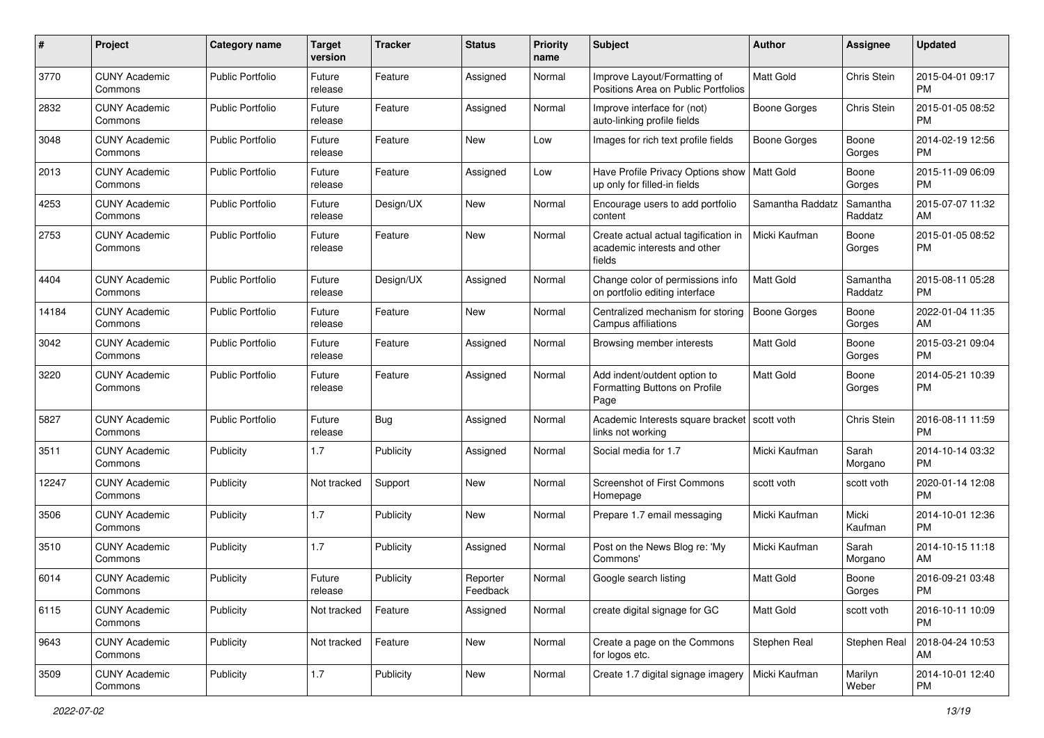| #     | Project                         | <b>Category name</b>    | <b>Target</b><br>version | <b>Tracker</b> | <b>Status</b>        | <b>Priority</b><br>name | Subject                                                                        | Author              | Assignee            | <b>Updated</b>                |
|-------|---------------------------------|-------------------------|--------------------------|----------------|----------------------|-------------------------|--------------------------------------------------------------------------------|---------------------|---------------------|-------------------------------|
| 3770  | <b>CUNY Academic</b><br>Commons | <b>Public Portfolio</b> | Future<br>release        | Feature        | Assigned             | Normal                  | Improve Layout/Formatting of<br>Positions Area on Public Portfolios            | <b>Matt Gold</b>    | Chris Stein         | 2015-04-01 09:17<br><b>PM</b> |
| 2832  | <b>CUNY Academic</b><br>Commons | <b>Public Portfolio</b> | Future<br>release        | Feature        | Assigned             | Normal                  | Improve interface for (not)<br>auto-linking profile fields                     | <b>Boone Gorges</b> | Chris Stein         | 2015-01-05 08:52<br><b>PM</b> |
| 3048  | CUNY Academic<br>Commons        | <b>Public Portfolio</b> | Future<br>release        | Feature        | New                  | Low                     | Images for rich text profile fields                                            | Boone Gorges        | Boone<br>Gorges     | 2014-02-19 12:56<br><b>PM</b> |
| 2013  | <b>CUNY Academic</b><br>Commons | <b>Public Portfolio</b> | Future<br>release        | Feature        | Assigned             | Low                     | Have Profile Privacy Options show<br>up only for filled-in fields              | Matt Gold           | Boone<br>Gorges     | 2015-11-09 06:09<br><b>PM</b> |
| 4253  | <b>CUNY Academic</b><br>Commons | <b>Public Portfolio</b> | Future<br>release        | Design/UX      | New                  | Normal                  | Encourage users to add portfolio<br>content                                    | Samantha Raddatz    | Samantha<br>Raddatz | 2015-07-07 11:32<br>AM        |
| 2753  | <b>CUNY Academic</b><br>Commons | <b>Public Portfolio</b> | Future<br>release        | Feature        | New                  | Normal                  | Create actual actual tagification in<br>academic interests and other<br>fields | Micki Kaufman       | Boone<br>Gorges     | 2015-01-05 08:52<br><b>PM</b> |
| 4404  | <b>CUNY Academic</b><br>Commons | <b>Public Portfolio</b> | Future<br>release        | Design/UX      | Assigned             | Normal                  | Change color of permissions info<br>on portfolio editing interface             | Matt Gold           | Samantha<br>Raddatz | 2015-08-11 05:28<br><b>PM</b> |
| 14184 | <b>CUNY Academic</b><br>Commons | <b>Public Portfolio</b> | Future<br>release        | Feature        | New                  | Normal                  | Centralized mechanism for storing<br>Campus affiliations                       | <b>Boone Gorges</b> | Boone<br>Gorges     | 2022-01-04 11:35<br>AM        |
| 3042  | <b>CUNY Academic</b><br>Commons | <b>Public Portfolio</b> | Future<br>release        | Feature        | Assigned             | Normal                  | Browsing member interests                                                      | <b>Matt Gold</b>    | Boone<br>Gorges     | 2015-03-21 09:04<br><b>PM</b> |
| 3220  | <b>CUNY Academic</b><br>Commons | <b>Public Portfolio</b> | Future<br>release        | Feature        | Assigned             | Normal                  | Add indent/outdent option to<br>Formatting Buttons on Profile<br>Page          | <b>Matt Gold</b>    | Boone<br>Gorges     | 2014-05-21 10:39<br><b>PM</b> |
| 5827  | <b>CUNY Academic</b><br>Commons | Public Portfolio        | Future<br>release        | Bug            | Assigned             | Normal                  | Academic Interests square bracket<br>links not working                         | scott voth          | Chris Stein         | 2016-08-11 11:59<br><b>PM</b> |
| 3511  | <b>CUNY Academic</b><br>Commons | Publicity               | 1.7                      | Publicity      | Assigned             | Normal                  | Social media for 1.7                                                           | Micki Kaufman       | Sarah<br>Morgano    | 2014-10-14 03:32<br><b>PM</b> |
| 12247 | <b>CUNY Academic</b><br>Commons | Publicity               | Not tracked              | Support        | <b>New</b>           | Normal                  | Screenshot of First Commons<br>Homepage                                        | scott voth          | scott voth          | 2020-01-14 12:08<br><b>PM</b> |
| 3506  | <b>CUNY Academic</b><br>Commons | Publicity               | 1.7                      | Publicity      | <b>New</b>           | Normal                  | Prepare 1.7 email messaging                                                    | Micki Kaufman       | Micki<br>Kaufman    | 2014-10-01 12:36<br><b>PM</b> |
| 3510  | <b>CUNY Academic</b><br>Commons | Publicity               | 1.7                      | Publicity      | Assigned             | Normal                  | Post on the News Blog re: 'My<br>Commons'                                      | Micki Kaufman       | Sarah<br>Morgano    | 2014-10-15 11:18<br>AM        |
| 6014  | <b>CUNY Academic</b><br>Commons | Publicity               | Future<br>release        | Publicity      | Reporter<br>Feedback | Normal                  | Google search listing                                                          | Matt Gold           | Boone<br>Gorges     | 2016-09-21 03:48<br><b>PM</b> |
| 6115  | <b>CUNY Academic</b><br>Commons | Publicity               | Not tracked              | Feature        | Assigned             | Normal                  | create digital signage for GC                                                  | Matt Gold           | scott voth          | 2016-10-11 10:09<br>PM        |
| 9643  | <b>CUNY Academic</b><br>Commons | Publicity               | Not tracked              | Feature        | New                  | Normal                  | Create a page on the Commons<br>for logos etc.                                 | Stephen Real        | Stephen Real        | 2018-04-24 10:53<br>AM        |
| 3509  | <b>CUNY Academic</b><br>Commons | Publicity               | 1.7                      | Publicity      | New                  | Normal                  | Create 1.7 digital signage imagery                                             | Micki Kaufman       | Marilyn<br>Weber    | 2014-10-01 12:40<br><b>PM</b> |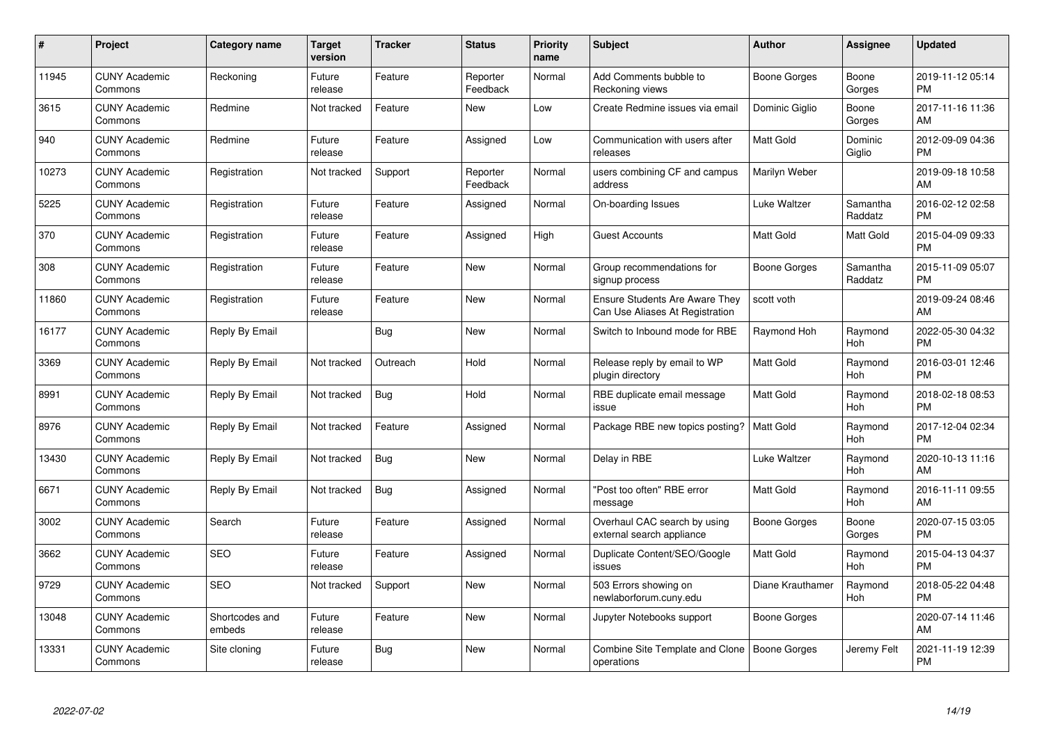| $\#$  | Project                         | <b>Category name</b>     | Target<br>version | <b>Tracker</b> | <b>Status</b>        | Priority<br>name | <b>Subject</b>                                                           | <b>Author</b>    | <b>Assignee</b>     | <b>Updated</b>                |
|-------|---------------------------------|--------------------------|-------------------|----------------|----------------------|------------------|--------------------------------------------------------------------------|------------------|---------------------|-------------------------------|
| 11945 | <b>CUNY Academic</b><br>Commons | Reckoning                | Future<br>release | Feature        | Reporter<br>Feedback | Normal           | Add Comments bubble to<br>Reckoning views                                | Boone Gorges     | Boone<br>Gorges     | 2019-11-12 05:14<br><b>PM</b> |
| 3615  | <b>CUNY Academic</b><br>Commons | Redmine                  | Not tracked       | Feature        | New                  | Low              | Create Redmine issues via email                                          | Dominic Giglio   | Boone<br>Gorges     | 2017-11-16 11:36<br>AM        |
| 940   | <b>CUNY Academic</b><br>Commons | Redmine                  | Future<br>release | Feature        | Assigned             | Low              | Communication with users after<br>releases                               | Matt Gold        | Dominic<br>Giglio   | 2012-09-09 04:36<br><b>PM</b> |
| 10273 | <b>CUNY Academic</b><br>Commons | Registration             | Not tracked       | Support        | Reporter<br>Feedback | Normal           | users combining CF and campus<br>address                                 | Marilyn Weber    |                     | 2019-09-18 10:58<br>AM        |
| 5225  | <b>CUNY Academic</b><br>Commons | Registration             | Future<br>release | Feature        | Assigned             | Normal           | On-boarding Issues                                                       | Luke Waltzer     | Samantha<br>Raddatz | 2016-02-12 02:58<br><b>PM</b> |
| 370   | <b>CUNY Academic</b><br>Commons | Registration             | Future<br>release | Feature        | Assigned             | High             | <b>Guest Accounts</b>                                                    | <b>Matt Gold</b> | Matt Gold           | 2015-04-09 09:33<br><b>PM</b> |
| 308   | <b>CUNY Academic</b><br>Commons | Registration             | Future<br>release | Feature        | <b>New</b>           | Normal           | Group recommendations for<br>signup process                              | Boone Gorges     | Samantha<br>Raddatz | 2015-11-09 05:07<br><b>PM</b> |
| 11860 | <b>CUNY Academic</b><br>Commons | Registration             | Future<br>release | Feature        | New                  | Normal           | <b>Ensure Students Are Aware They</b><br>Can Use Aliases At Registration | scott voth       |                     | 2019-09-24 08:46<br>AM        |
| 16177 | <b>CUNY Academic</b><br>Commons | Reply By Email           |                   | <b>Bug</b>     | New                  | Normal           | Switch to Inbound mode for RBE                                           | Raymond Hoh      | Raymond<br>Hoh      | 2022-05-30 04:32<br><b>PM</b> |
| 3369  | <b>CUNY Academic</b><br>Commons | Reply By Email           | Not tracked       | Outreach       | Hold                 | Normal           | Release reply by email to WP<br>plugin directory                         | <b>Matt Gold</b> | Raymond<br>Hoh      | 2016-03-01 12:46<br><b>PM</b> |
| 8991  | <b>CUNY Academic</b><br>Commons | Reply By Email           | Not tracked       | Bug            | Hold                 | Normal           | RBE duplicate email message<br>issue                                     | Matt Gold        | Raymond<br>Hoh      | 2018-02-18 08:53<br><b>PM</b> |
| 8976  | <b>CUNY Academic</b><br>Commons | Reply By Email           | Not tracked       | Feature        | Assigned             | Normal           | Package RBE new topics posting?                                          | <b>Matt Gold</b> | Raymond<br>Hoh      | 2017-12-04 02:34<br><b>PM</b> |
| 13430 | <b>CUNY Academic</b><br>Commons | Reply By Email           | Not tracked       | Bug            | New                  | Normal           | Delay in RBE                                                             | Luke Waltzer     | Raymond<br>Hoh      | 2020-10-13 11:16<br>AM        |
| 6671  | <b>CUNY Academic</b><br>Commons | Reply By Email           | Not tracked       | Bug            | Assigned             | Normal           | "Post too often" RBE error<br>message                                    | Matt Gold        | Raymond<br>Hoh      | 2016-11-11 09:55<br>AM        |
| 3002  | <b>CUNY Academic</b><br>Commons | Search                   | Future<br>release | Feature        | Assigned             | Normal           | Overhaul CAC search by using<br>external search appliance                | Boone Gorges     | Boone<br>Gorges     | 2020-07-15 03:05<br><b>PM</b> |
| 3662  | <b>CUNY Academic</b><br>Commons | <b>SEO</b>               | Future<br>release | Feature        | Assigned             | Normal           | Duplicate Content/SEO/Google<br>issues                                   | Matt Gold        | Raymond<br>Hoh      | 2015-04-13 04:37<br><b>PM</b> |
| 9729  | <b>CUNY Academic</b><br>Commons | <b>SEO</b>               | Not tracked       | Support        | New                  | Normal           | 503 Errors showing on<br>newlaborforum.cuny.edu                          | Diane Krauthamer | Raymond<br>Hoh      | 2018-05-22 04:48<br><b>PM</b> |
| 13048 | <b>CUNY Academic</b><br>Commons | Shortcodes and<br>embeds | Future<br>release | Feature        | New                  | Normal           | Jupyter Notebooks support                                                | Boone Gorges     |                     | 2020-07-14 11:46<br>AM        |
| 13331 | <b>CUNY Academic</b><br>Commons | Site cloning             | Future<br>release | Bug            | <b>New</b>           | Normal           | Combine Site Template and Clone<br>operations                            | Boone Gorges     | Jeremy Felt         | 2021-11-19 12:39<br><b>PM</b> |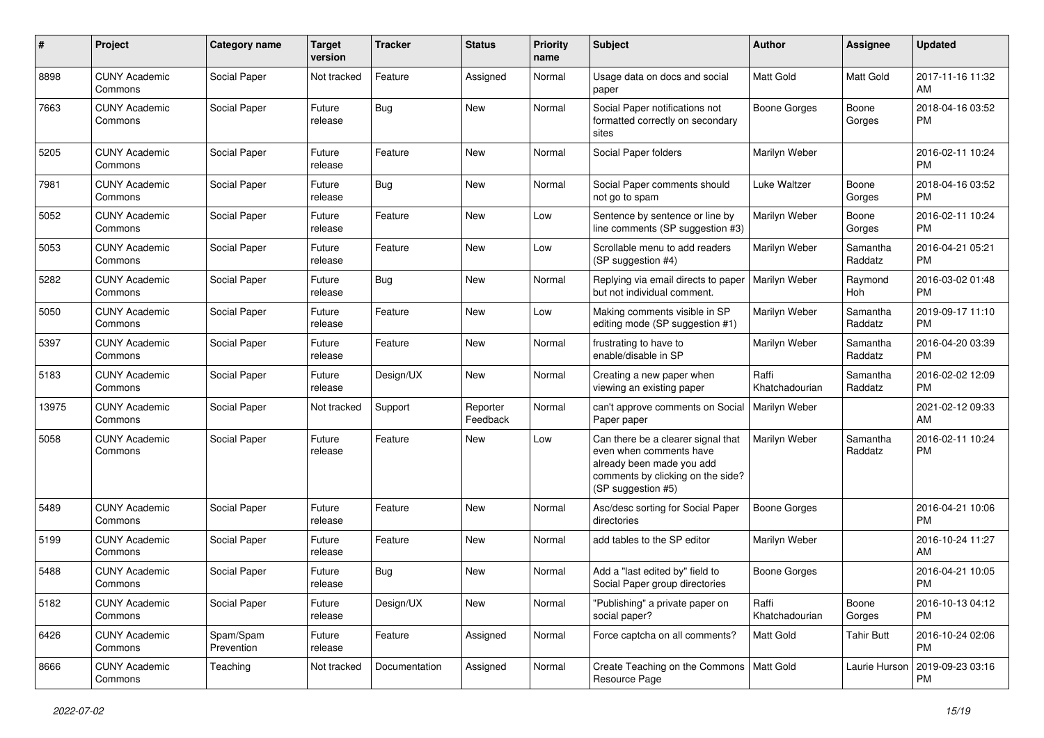| $\#$  | Project                         | Category name           | <b>Target</b><br>version | <b>Tracker</b> | <b>Status</b>        | <b>Priority</b><br>name | <b>Subject</b>                                                                                                                                        | Author                  | <b>Assignee</b>     | <b>Updated</b>                |
|-------|---------------------------------|-------------------------|--------------------------|----------------|----------------------|-------------------------|-------------------------------------------------------------------------------------------------------------------------------------------------------|-------------------------|---------------------|-------------------------------|
| 8898  | <b>CUNY Academic</b><br>Commons | Social Paper            | Not tracked              | Feature        | Assigned             | Normal                  | Usage data on docs and social<br>paper                                                                                                                | <b>Matt Gold</b>        | Matt Gold           | 2017-11-16 11:32<br>AM        |
| 7663  | <b>CUNY Academic</b><br>Commons | Social Paper            | Future<br>release        | <b>Bug</b>     | New                  | Normal                  | Social Paper notifications not<br>formatted correctly on secondary<br>sites                                                                           | <b>Boone Gorges</b>     | Boone<br>Gorges     | 2018-04-16 03:52<br><b>PM</b> |
| 5205  | <b>CUNY Academic</b><br>Commons | Social Paper            | Future<br>release        | Feature        | New                  | Normal                  | Social Paper folders                                                                                                                                  | Marilyn Weber           |                     | 2016-02-11 10:24<br><b>PM</b> |
| 7981  | <b>CUNY Academic</b><br>Commons | Social Paper            | Future<br>release        | Bug            | New                  | Normal                  | Social Paper comments should<br>not go to spam                                                                                                        | Luke Waltzer            | Boone<br>Gorges     | 2018-04-16 03:52<br><b>PM</b> |
| 5052  | <b>CUNY Academic</b><br>Commons | Social Paper            | Future<br>release        | Feature        | New                  | Low                     | Sentence by sentence or line by<br>line comments (SP suggestion #3)                                                                                   | Marilyn Weber           | Boone<br>Gorges     | 2016-02-11 10:24<br><b>PM</b> |
| 5053  | <b>CUNY Academic</b><br>Commons | Social Paper            | Future<br>release        | Feature        | New                  | Low                     | Scrollable menu to add readers<br>(SP suggestion #4)                                                                                                  | Marilyn Weber           | Samantha<br>Raddatz | 2016-04-21 05:21<br><b>PM</b> |
| 5282  | <b>CUNY Academic</b><br>Commons | Social Paper            | Future<br>release        | Bug            | New                  | Normal                  | Replying via email directs to paper<br>but not individual comment.                                                                                    | Marilyn Weber           | Raymond<br>Hoh      | 2016-03-02 01:48<br><b>PM</b> |
| 5050  | <b>CUNY Academic</b><br>Commons | Social Paper            | Future<br>release        | Feature        | New                  | Low                     | Making comments visible in SP<br>editing mode (SP suggestion #1)                                                                                      | Marilyn Weber           | Samantha<br>Raddatz | 2019-09-17 11:10<br><b>PM</b> |
| 5397  | <b>CUNY Academic</b><br>Commons | Social Paper            | Future<br>release        | Feature        | New                  | Normal                  | frustrating to have to<br>enable/disable in SP                                                                                                        | Marilyn Weber           | Samantha<br>Raddatz | 2016-04-20 03:39<br><b>PM</b> |
| 5183  | <b>CUNY Academic</b><br>Commons | Social Paper            | Future<br>release        | Design/UX      | New                  | Normal                  | Creating a new paper when<br>viewing an existing paper                                                                                                | Raffi<br>Khatchadourian | Samantha<br>Raddatz | 2016-02-02 12:09<br><b>PM</b> |
| 13975 | <b>CUNY Academic</b><br>Commons | Social Paper            | Not tracked              | Support        | Reporter<br>Feedback | Normal                  | can't approve comments on Social<br>Paper paper                                                                                                       | Marilyn Weber           |                     | 2021-02-12 09:33<br>AM        |
| 5058  | <b>CUNY Academic</b><br>Commons | Social Paper            | Future<br>release        | Feature        | <b>New</b>           | Low                     | Can there be a clearer signal that<br>even when comments have<br>already been made you add<br>comments by clicking on the side?<br>(SP suggestion #5) | Marilyn Weber           | Samantha<br>Raddatz | 2016-02-11 10:24<br><b>PM</b> |
| 5489  | <b>CUNY Academic</b><br>Commons | Social Paper            | Future<br>release        | Feature        | <b>New</b>           | Normal                  | Asc/desc sorting for Social Paper<br>directories                                                                                                      | <b>Boone Gorges</b>     |                     | 2016-04-21 10:06<br><b>PM</b> |
| 5199  | <b>CUNY Academic</b><br>Commons | Social Paper            | Future<br>release        | Feature        | New                  | Normal                  | add tables to the SP editor                                                                                                                           | Marilyn Weber           |                     | 2016-10-24 11:27<br>AM        |
| 5488  | <b>CUNY Academic</b><br>Commons | Social Paper            | Future<br>release        | <b>Bug</b>     | <b>New</b>           | Normal                  | Add a "last edited by" field to<br>Social Paper group directories                                                                                     | Boone Gorges            |                     | 2016-04-21 10:05<br><b>PM</b> |
| 5182  | <b>CUNY Academic</b><br>Commons | Social Paper            | Future<br>release        | Design/UX      | New                  | Normal                  | "Publishing" a private paper on<br>social paper?                                                                                                      | Raffi<br>Khatchadourian | Boone<br>Gorges     | 2016-10-13 04:12<br><b>PM</b> |
| 6426  | <b>CUNY Academic</b><br>Commons | Spam/Spam<br>Prevention | Future<br>release        | Feature        | Assigned             | Normal                  | Force captcha on all comments?                                                                                                                        | Matt Gold               | <b>Tahir Butt</b>   | 2016-10-24 02:06<br><b>PM</b> |
| 8666  | <b>CUNY Academic</b><br>Commons | Teaching                | Not tracked              | Documentation  | Assigned             | Normal                  | Create Teaching on the Commons   Matt Gold<br>Resource Page                                                                                           |                         | Laurie Hurson       | 2019-09-23 03:16<br><b>PM</b> |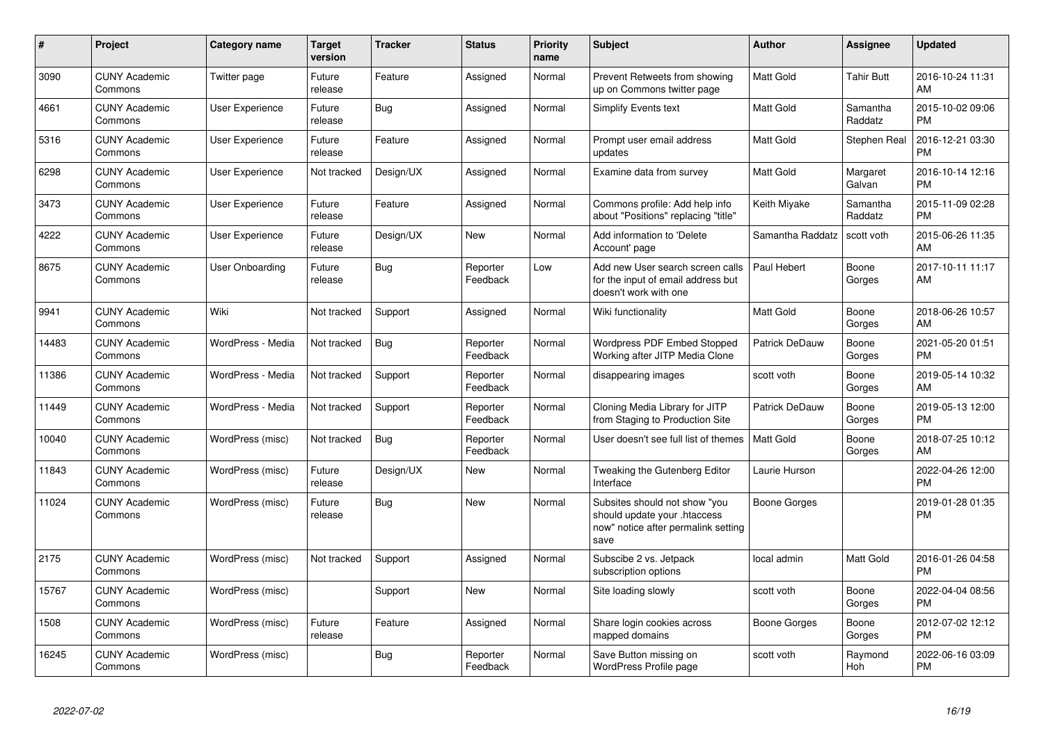| $\#$  | Project                         | <b>Category name</b>   | <b>Target</b><br>version | <b>Tracker</b> | <b>Status</b>        | <b>Priority</b><br>name | <b>Subject</b>                                                                                               | <b>Author</b>         | Assignee            | <b>Updated</b>                |
|-------|---------------------------------|------------------------|--------------------------|----------------|----------------------|-------------------------|--------------------------------------------------------------------------------------------------------------|-----------------------|---------------------|-------------------------------|
| 3090  | <b>CUNY Academic</b><br>Commons | Twitter page           | Future<br>release        | Feature        | Assigned             | Normal                  | Prevent Retweets from showing<br>up on Commons twitter page                                                  | <b>Matt Gold</b>      | <b>Tahir Butt</b>   | 2016-10-24 11:31<br>AM        |
| 4661  | <b>CUNY Academic</b><br>Commons | <b>User Experience</b> | Future<br>release        | Bug            | Assigned             | Normal                  | Simplify Events text                                                                                         | <b>Matt Gold</b>      | Samantha<br>Raddatz | 2015-10-02 09:06<br><b>PM</b> |
| 5316  | <b>CUNY Academic</b><br>Commons | <b>User Experience</b> | Future<br>release        | Feature        | Assigned             | Normal                  | Prompt user email address<br>updates                                                                         | Matt Gold             | Stephen Real        | 2016-12-21 03:30<br><b>PM</b> |
| 6298  | <b>CUNY Academic</b><br>Commons | <b>User Experience</b> | Not tracked              | Design/UX      | Assigned             | Normal                  | Examine data from survey                                                                                     | Matt Gold             | Margaret<br>Galvan  | 2016-10-14 12:16<br><b>PM</b> |
| 3473  | <b>CUNY Academic</b><br>Commons | User Experience        | Future<br>release        | Feature        | Assigned             | Normal                  | Commons profile: Add help info<br>about "Positions" replacing "title"                                        | Keith Miyake          | Samantha<br>Raddatz | 2015-11-09 02:28<br><b>PM</b> |
| 4222  | <b>CUNY Academic</b><br>Commons | User Experience        | Future<br>release        | Design/UX      | New                  | Normal                  | Add information to 'Delete<br>Account' page                                                                  | Samantha Raddatz      | scott voth          | 2015-06-26 11:35<br>AM        |
| 8675  | <b>CUNY Academic</b><br>Commons | User Onboarding        | Future<br>release        | Bug            | Reporter<br>Feedback | Low                     | Add new User search screen calls<br>for the input of email address but<br>doesn't work with one              | Paul Hebert           | Boone<br>Gorges     | 2017-10-11 11:17<br>AM        |
| 9941  | <b>CUNY Academic</b><br>Commons | Wiki                   | Not tracked              | Support        | Assigned             | Normal                  | Wiki functionality                                                                                           | Matt Gold             | Boone<br>Gorges     | 2018-06-26 10:57<br>AM        |
| 14483 | <b>CUNY Academic</b><br>Commons | WordPress - Media      | Not tracked              | Bug            | Reporter<br>Feedback | Normal                  | <b>Wordpress PDF Embed Stopped</b><br>Working after JITP Media Clone                                         | Patrick DeDauw        | Boone<br>Gorges     | 2021-05-20 01:51<br><b>PM</b> |
| 11386 | <b>CUNY Academic</b><br>Commons | WordPress - Media      | Not tracked              | Support        | Reporter<br>Feedback | Normal                  | disappearing images                                                                                          | scott voth            | Boone<br>Gorges     | 2019-05-14 10:32<br>AM        |
| 11449 | <b>CUNY Academic</b><br>Commons | WordPress - Media      | Not tracked              | Support        | Reporter<br>Feedback | Normal                  | Cloning Media Library for JITP<br>from Staging to Production Site                                            | <b>Patrick DeDauw</b> | Boone<br>Gorges     | 2019-05-13 12:00<br><b>PM</b> |
| 10040 | <b>CUNY Academic</b><br>Commons | WordPress (misc)       | Not tracked              | Bug            | Reporter<br>Feedback | Normal                  | User doesn't see full list of themes                                                                         | <b>Matt Gold</b>      | Boone<br>Gorges     | 2018-07-25 10:12<br>AM        |
| 11843 | <b>CUNY Academic</b><br>Commons | WordPress (misc)       | Future<br>release        | Design/UX      | New                  | Normal                  | Tweaking the Gutenberg Editor<br>Interface                                                                   | Laurie Hurson         |                     | 2022-04-26 12:00<br><b>PM</b> |
| 11024 | <b>CUNY Academic</b><br>Commons | WordPress (misc)       | Future<br>release        | Bug            | New                  | Normal                  | Subsites should not show "you<br>should update your .htaccess<br>now" notice after permalink setting<br>save | Boone Gorges          |                     | 2019-01-28 01:35<br><b>PM</b> |
| 2175  | <b>CUNY Academic</b><br>Commons | WordPress (misc)       | Not tracked              | Support        | Assigned             | Normal                  | Subscibe 2 vs. Jetpack<br>subscription options                                                               | local admin           | Matt Gold           | 2016-01-26 04:58<br><b>PM</b> |
| 15767 | <b>CUNY Academic</b><br>Commons | WordPress (misc)       |                          | Support        | <b>New</b>           | Normal                  | Site loading slowly                                                                                          | scott voth            | Boone<br>Gorges     | 2022-04-04 08:56<br><b>PM</b> |
| 1508  | <b>CUNY Academic</b><br>Commons | WordPress (misc)       | Future<br>release        | Feature        | Assigned             | Normal                  | Share login cookies across<br>mapped domains                                                                 | Boone Gorges          | Boone<br>Gorges     | 2012-07-02 12:12<br><b>PM</b> |
| 16245 | <b>CUNY Academic</b><br>Commons | WordPress (misc)       |                          | Bug            | Reporter<br>Feedback | Normal                  | Save Button missing on<br>WordPress Profile page                                                             | scott voth            | Raymond<br>Hoh      | 2022-06-16 03:09<br><b>PM</b> |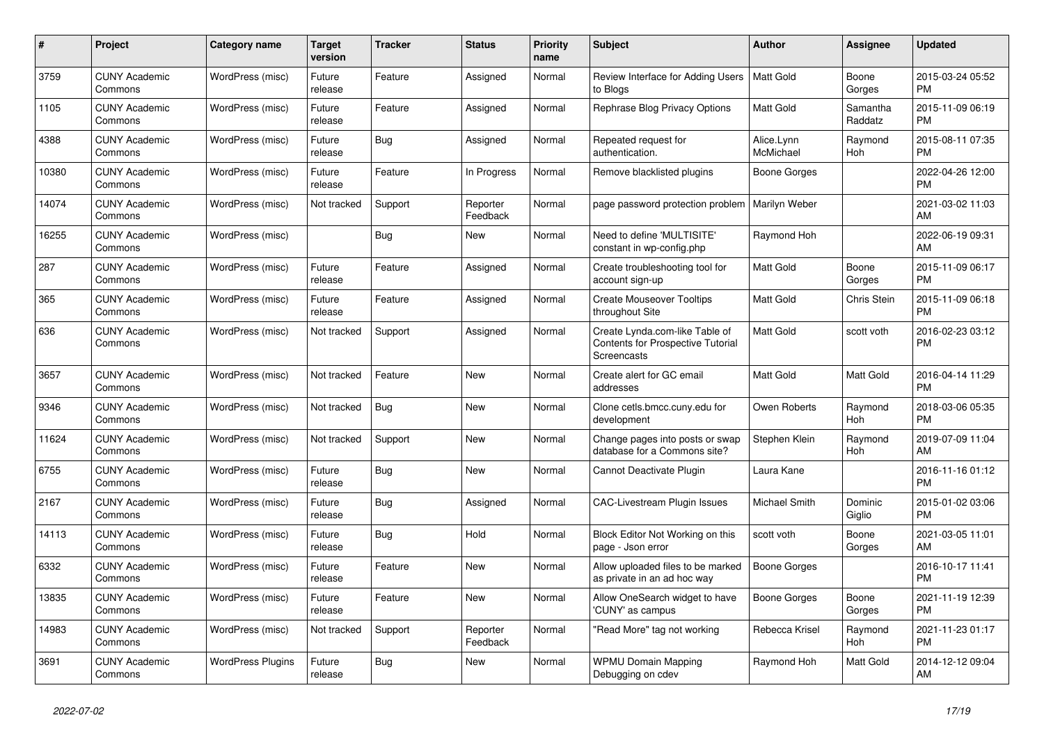| $\#$  | Project                         | <b>Category name</b>     | <b>Target</b><br>version | <b>Tracker</b> | <b>Status</b>        | <b>Priority</b><br>name | <b>Subject</b>                                                                                   | <b>Author</b>           | <b>Assignee</b>     | <b>Updated</b>                |
|-------|---------------------------------|--------------------------|--------------------------|----------------|----------------------|-------------------------|--------------------------------------------------------------------------------------------------|-------------------------|---------------------|-------------------------------|
| 3759  | <b>CUNY Academic</b><br>Commons | WordPress (misc)         | Future<br>release        | Feature        | Assigned             | Normal                  | Review Interface for Adding Users<br>to Blogs                                                    | Matt Gold               | Boone<br>Gorges     | 2015-03-24 05:52<br><b>PM</b> |
| 1105  | <b>CUNY Academic</b><br>Commons | WordPress (misc)         | Future<br>release        | Feature        | Assigned             | Normal                  | Rephrase Blog Privacy Options                                                                    | <b>Matt Gold</b>        | Samantha<br>Raddatz | 2015-11-09 06:19<br><b>PM</b> |
| 4388  | <b>CUNY Academic</b><br>Commons | WordPress (misc)         | Future<br>release        | <b>Bug</b>     | Assigned             | Normal                  | Repeated request for<br>authentication.                                                          | Alice.Lynn<br>McMichael | Raymond<br>Hoh      | 2015-08-11 07:35<br><b>PM</b> |
| 10380 | <b>CUNY Academic</b><br>Commons | WordPress (misc)         | Future<br>release        | Feature        | In Progress          | Normal                  | Remove blacklisted plugins                                                                       | Boone Gorges            |                     | 2022-04-26 12:00<br><b>PM</b> |
| 14074 | <b>CUNY Academic</b><br>Commons | WordPress (misc)         | Not tracked              | Support        | Reporter<br>Feedback | Normal                  | page password protection problem                                                                 | Marilyn Weber           |                     | 2021-03-02 11:03<br>AM        |
| 16255 | <b>CUNY Academic</b><br>Commons | WordPress (misc)         |                          | Bug            | New                  | Normal                  | Need to define 'MULTISITE'<br>constant in wp-config.php                                          | Raymond Hoh             |                     | 2022-06-19 09:31<br>AM        |
| 287   | <b>CUNY Academic</b><br>Commons | WordPress (misc)         | Future<br>release        | Feature        | Assigned             | Normal                  | Create troubleshooting tool for<br>account sign-up                                               | <b>Matt Gold</b>        | Boone<br>Gorges     | 2015-11-09 06:17<br><b>PM</b> |
| 365   | <b>CUNY Academic</b><br>Commons | WordPress (misc)         | Future<br>release        | Feature        | Assigned             | Normal                  | <b>Create Mouseover Tooltips</b><br>throughout Site                                              | <b>Matt Gold</b>        | Chris Stein         | 2015-11-09 06:18<br><b>PM</b> |
| 636   | <b>CUNY Academic</b><br>Commons | WordPress (misc)         | Not tracked              | Support        | Assigned             | Normal                  | Create Lynda.com-like Table of<br><b>Contents for Prospective Tutorial</b><br><b>Screencasts</b> | Matt Gold               | scott voth          | 2016-02-23 03:12<br><b>PM</b> |
| 3657  | <b>CUNY Academic</b><br>Commons | WordPress (misc)         | Not tracked              | Feature        | <b>New</b>           | Normal                  | Create alert for GC email<br>addresses                                                           | <b>Matt Gold</b>        | Matt Gold           | 2016-04-14 11:29<br><b>PM</b> |
| 9346  | <b>CUNY Academic</b><br>Commons | WordPress (misc)         | Not tracked              | Bug            | New                  | Normal                  | Clone cetls.bmcc.cuny.edu for<br>development                                                     | Owen Roberts            | Raymond<br>Hoh      | 2018-03-06 05:35<br><b>PM</b> |
| 11624 | <b>CUNY Academic</b><br>Commons | WordPress (misc)         | Not tracked              | Support        | <b>New</b>           | Normal                  | Change pages into posts or swap<br>database for a Commons site?                                  | Stephen Klein           | Raymond<br>Hoh      | 2019-07-09 11:04<br>AM        |
| 6755  | <b>CUNY Academic</b><br>Commons | WordPress (misc)         | Future<br>release        | Bug            | <b>New</b>           | Normal                  | Cannot Deactivate Plugin                                                                         | Laura Kane              |                     | 2016-11-16 01:12<br><b>PM</b> |
| 2167  | <b>CUNY Academic</b><br>Commons | WordPress (misc)         | Future<br>release        | Bug            | Assigned             | Normal                  | <b>CAC-Livestream Plugin Issues</b>                                                              | Michael Smith           | Dominic<br>Giglio   | 2015-01-02 03:06<br><b>PM</b> |
| 14113 | <b>CUNY Academic</b><br>Commons | WordPress (misc)         | Future<br>release        | Bug            | Hold                 | Normal                  | Block Editor Not Working on this<br>page - Json error                                            | scott voth              | Boone<br>Gorges     | 2021-03-05 11:01<br>AM        |
| 6332  | <b>CUNY Academic</b><br>Commons | WordPress (misc)         | Future<br>release        | Feature        | New                  | Normal                  | Allow uploaded files to be marked<br>as private in an ad hoc way                                 | Boone Gorges            |                     | 2016-10-17 11:41<br><b>PM</b> |
| 13835 | <b>CUNY Academic</b><br>Commons | WordPress (misc)         | Future<br>release        | Feature        | <b>New</b>           | Normal                  | Allow OneSearch widget to have<br>'CUNY' as campus                                               | Boone Gorges            | Boone<br>Gorges     | 2021-11-19 12:39<br><b>PM</b> |
| 14983 | <b>CUNY Academic</b><br>Commons | WordPress (misc)         | Not tracked              | Support        | Reporter<br>Feedback | Normal                  | "Read More" tag not working                                                                      | Rebecca Krisel          | Raymond<br>Hoh      | 2021-11-23 01:17<br><b>PM</b> |
| 3691  | <b>CUNY Academic</b><br>Commons | <b>WordPress Plugins</b> | Future<br>release        | <b>Bug</b>     | <b>New</b>           | Normal                  | <b>WPMU Domain Mapping</b><br>Debugging on cdev                                                  | Raymond Hoh             | Matt Gold           | 2014-12-12 09:04<br>AM        |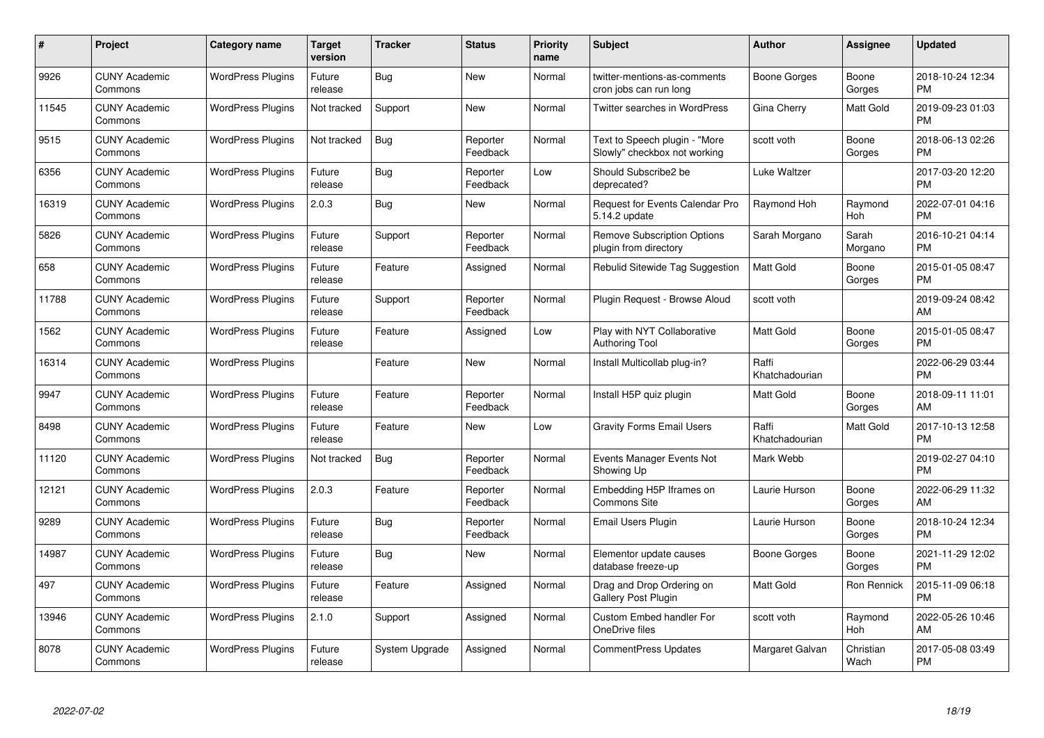| #     | Project                         | <b>Category name</b>     | <b>Target</b><br>version | <b>Tracker</b> | <b>Status</b>        | Priority<br>name | <b>Subject</b>                                                | <b>Author</b>           | <b>Assignee</b>   | <b>Updated</b>                |
|-------|---------------------------------|--------------------------|--------------------------|----------------|----------------------|------------------|---------------------------------------------------------------|-------------------------|-------------------|-------------------------------|
| 9926  | <b>CUNY Academic</b><br>Commons | <b>WordPress Plugins</b> | Future<br>release        | Bug            | <b>New</b>           | Normal           | twitter-mentions-as-comments<br>cron jobs can run long        | Boone Gorges            | Boone<br>Gorges   | 2018-10-24 12:34<br><b>PM</b> |
| 11545 | <b>CUNY Academic</b><br>Commons | <b>WordPress Plugins</b> | Not tracked              | Support        | <b>New</b>           | Normal           | <b>Twitter searches in WordPress</b>                          | Gina Cherry             | Matt Gold         | 2019-09-23 01:03<br><b>PM</b> |
| 9515  | <b>CUNY Academic</b><br>Commons | <b>WordPress Plugins</b> | Not tracked              | Bug            | Reporter<br>Feedback | Normal           | Text to Speech plugin - "More<br>Slowly" checkbox not working | scott voth              | Boone<br>Gorges   | 2018-06-13 02:26<br><b>PM</b> |
| 6356  | <b>CUNY Academic</b><br>Commons | <b>WordPress Plugins</b> | Future<br>release        | Bug            | Reporter<br>Feedback | Low              | Should Subscribe2 be<br>deprecated?                           | Luke Waltzer            |                   | 2017-03-20 12:20<br><b>PM</b> |
| 16319 | <b>CUNY Academic</b><br>Commons | <b>WordPress Plugins</b> | 2.0.3                    | <b>Bug</b>     | New                  | Normal           | Request for Events Calendar Pro<br>5.14.2 update              | Raymond Hoh             | Raymond<br>Hoh    | 2022-07-01 04:16<br><b>PM</b> |
| 5826  | <b>CUNY Academic</b><br>Commons | <b>WordPress Plugins</b> | Future<br>release        | Support        | Reporter<br>Feedback | Normal           | <b>Remove Subscription Options</b><br>plugin from directory   | Sarah Morgano           | Sarah<br>Morgano  | 2016-10-21 04:14<br><b>PM</b> |
| 658   | <b>CUNY Academic</b><br>Commons | <b>WordPress Plugins</b> | Future<br>release        | Feature        | Assigned             | Normal           | Rebulid Sitewide Tag Suggestion                               | <b>Matt Gold</b>        | Boone<br>Gorges   | 2015-01-05 08:47<br><b>PM</b> |
| 11788 | <b>CUNY Academic</b><br>Commons | <b>WordPress Plugins</b> | Future<br>release        | Support        | Reporter<br>Feedback | Normal           | Plugin Request - Browse Aloud                                 | scott voth              |                   | 2019-09-24 08:42<br>AM        |
| 1562  | <b>CUNY Academic</b><br>Commons | <b>WordPress Plugins</b> | Future<br>release        | Feature        | Assigned             | Low              | Play with NYT Collaborative<br>Authoring Tool                 | Matt Gold               | Boone<br>Gorges   | 2015-01-05 08:47<br><b>PM</b> |
| 16314 | <b>CUNY Academic</b><br>Commons | <b>WordPress Plugins</b> |                          | Feature        | <b>New</b>           | Normal           | Install Multicollab plug-in?                                  | Raffi<br>Khatchadourian |                   | 2022-06-29 03:44<br><b>PM</b> |
| 9947  | <b>CUNY Academic</b><br>Commons | <b>WordPress Plugins</b> | Future<br>release        | Feature        | Reporter<br>Feedback | Normal           | Install H5P quiz plugin                                       | Matt Gold               | Boone<br>Gorges   | 2018-09-11 11:01<br>AM        |
| 8498  | <b>CUNY Academic</b><br>Commons | <b>WordPress Plugins</b> | Future<br>release        | Feature        | New                  | Low              | <b>Gravity Forms Email Users</b>                              | Raffi<br>Khatchadourian | Matt Gold         | 2017-10-13 12:58<br><b>PM</b> |
| 11120 | <b>CUNY Academic</b><br>Commons | <b>WordPress Plugins</b> | Not tracked              | Bug            | Reporter<br>Feedback | Normal           | Events Manager Events Not<br>Showing Up                       | Mark Webb               |                   | 2019-02-27 04:10<br><b>PM</b> |
| 12121 | <b>CUNY Academic</b><br>Commons | <b>WordPress Plugins</b> | 2.0.3                    | Feature        | Reporter<br>Feedback | Normal           | Embedding H5P Iframes on<br><b>Commons Site</b>               | Laurie Hurson           | Boone<br>Gorges   | 2022-06-29 11:32<br>AM        |
| 9289  | <b>CUNY Academic</b><br>Commons | <b>WordPress Plugins</b> | Future<br>release        | Bug            | Reporter<br>Feedback | Normal           | Email Users Plugin                                            | Laurie Hurson           | Boone<br>Gorges   | 2018-10-24 12:34<br><b>PM</b> |
| 14987 | <b>CUNY Academic</b><br>Commons | <b>WordPress Plugins</b> | Future<br>release        | Bug            | New                  | Normal           | Elementor update causes<br>database freeze-up                 | Boone Gorges            | Boone<br>Gorges   | 2021-11-29 12:02<br><b>PM</b> |
| 497   | <b>CUNY Academic</b><br>Commons | <b>WordPress Plugins</b> | Future<br>release        | Feature        | Assigned             | Normal           | Drag and Drop Ordering on<br><b>Gallery Post Plugin</b>       | <b>Matt Gold</b>        | Ron Rennick       | 2015-11-09 06:18<br><b>PM</b> |
| 13946 | <b>CUNY Academic</b><br>Commons | <b>WordPress Plugins</b> | 2.1.0                    | Support        | Assigned             | Normal           | Custom Embed handler For<br>OneDrive files                    | scott voth              | Raymond<br>Hoh    | 2022-05-26 10:46<br>AM        |
| 8078  | CUNY Academic<br>Commons        | <b>WordPress Plugins</b> | Future<br>release        | System Upgrade | Assigned             | Normal           | <b>CommentPress Updates</b>                                   | Margaret Galvan         | Christian<br>Wach | 2017-05-08 03:49<br><b>PM</b> |